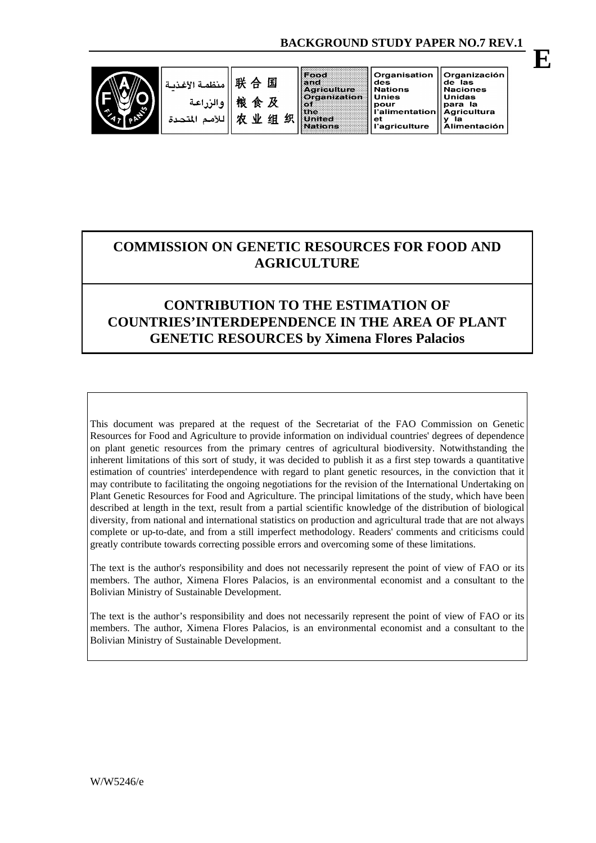$\mathbf{d}\mathbf{e}\mathbf{S}$ 

**Unies** 

pour

et



Organisation Organización  $de<sup>7</sup>$  las **Nations Naciones** Unidas para la Agricultura l'alimentation v **Ia** - .<br>l'agriculture Alimentación

# **COMMISSION ON GENETIC RESOURCES FOR FOOD AND AGRICULTURE**

## **CONTRIBUTION TO THE ESTIMATION OF COUNTRIES'INTERDEPENDENCE IN THE AREA OF PLANT GENETIC RESOURCES by Ximena Flores Palacios**

This document was prepared at the request of the Secretariat of the FAO Commission on Genetic Resources for Food and Agriculture to provide information on individual countries' degrees of dependence on plant genetic resources from the primary centres of agricultural biodiversity. Notwithstanding the inherent limitations of this sort of study, it was decided to publish it as a first step towards a quantitative estimation of countries' interdependence with regard to plant genetic resources, in the conviction that it may contribute to facilitating the ongoing negotiations for the revision of the International Undertaking on Plant Genetic Resources for Food and Agriculture. The principal limitations of the study, which have been described at length in the text, result from a partial scientific knowledge of the distribution of biological diversity, from national and international statistics on production and agricultural trade that are not always complete or up-to-date, and from a still imperfect methodology. Readers' comments and criticisms could greatly contribute towards correcting possible errors and overcoming some of these limitations.

The text is the author's responsibility and does not necessarily represent the point of view of FAO or its members. The author, Ximena Flores Palacios, is an environmental economist and a consultant to the Bolivian Ministry of Sustainable Development.

The text is the author's responsibility and does not necessarily represent the point of view of FAO or its members. The author, Ximena Flores Palacios, is an environmental economist and a consultant to the Bolivian Ministry of Sustainable Development.

**E**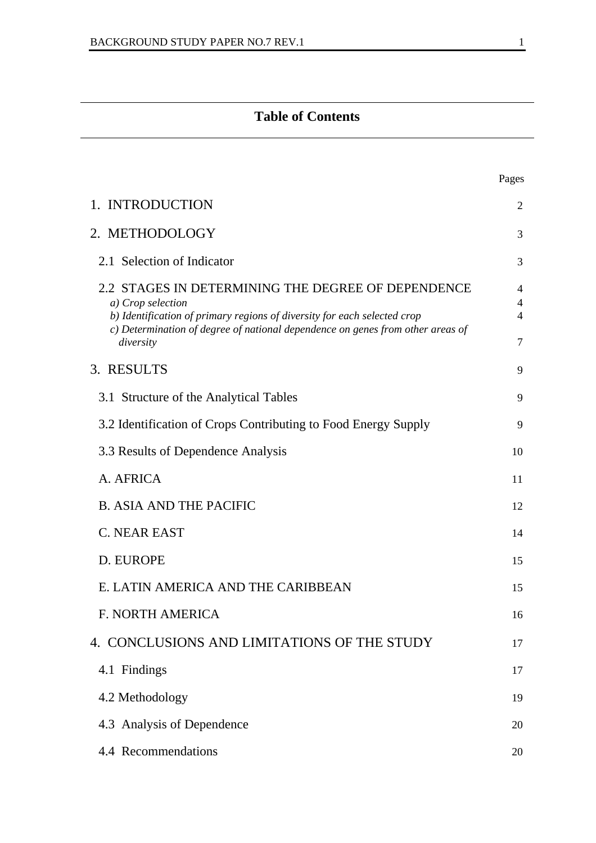# **Table of Contents**

|                                                                                                                                                                                                                                                    | Pages                                      |
|----------------------------------------------------------------------------------------------------------------------------------------------------------------------------------------------------------------------------------------------------|--------------------------------------------|
| 1. INTRODUCTION                                                                                                                                                                                                                                    | 2                                          |
| 2. METHODOLOGY                                                                                                                                                                                                                                     | 3                                          |
| 2.1 Selection of Indicator                                                                                                                                                                                                                         | 3                                          |
| 2.2 STAGES IN DETERMINING THE DEGREE OF DEPENDENCE<br>a) Crop selection<br>b) Identification of primary regions of diversity for each selected crop<br>c) Determination of degree of national dependence on genes from other areas of<br>diversity | $\overline{4}$<br>4<br>4<br>$\overline{7}$ |
| 3. RESULTS                                                                                                                                                                                                                                         | 9                                          |
| 3.1 Structure of the Analytical Tables                                                                                                                                                                                                             | 9                                          |
| 3.2 Identification of Crops Contributing to Food Energy Supply                                                                                                                                                                                     | 9                                          |
| 3.3 Results of Dependence Analysis                                                                                                                                                                                                                 | 10                                         |
| A. AFRICA                                                                                                                                                                                                                                          | 11                                         |
| <b>B. ASIA AND THE PACIFIC</b>                                                                                                                                                                                                                     | 12                                         |
| <b>C. NEAR EAST</b>                                                                                                                                                                                                                                | 14                                         |
| D. EUROPE                                                                                                                                                                                                                                          | 15                                         |
| E. LATIN AMERICA AND THE CARIBBEAN                                                                                                                                                                                                                 | 15                                         |
| <b>F. NORTH AMERICA</b>                                                                                                                                                                                                                            | 16                                         |
| 4. CONCLUSIONS AND LIMITATIONS OF THE STUDY                                                                                                                                                                                                        | 17                                         |
| 4.1 Findings                                                                                                                                                                                                                                       | 17                                         |
| 4.2 Methodology                                                                                                                                                                                                                                    | 19                                         |
| 4.3 Analysis of Dependence                                                                                                                                                                                                                         | 20                                         |
| 4.4 Recommendations                                                                                                                                                                                                                                | 20                                         |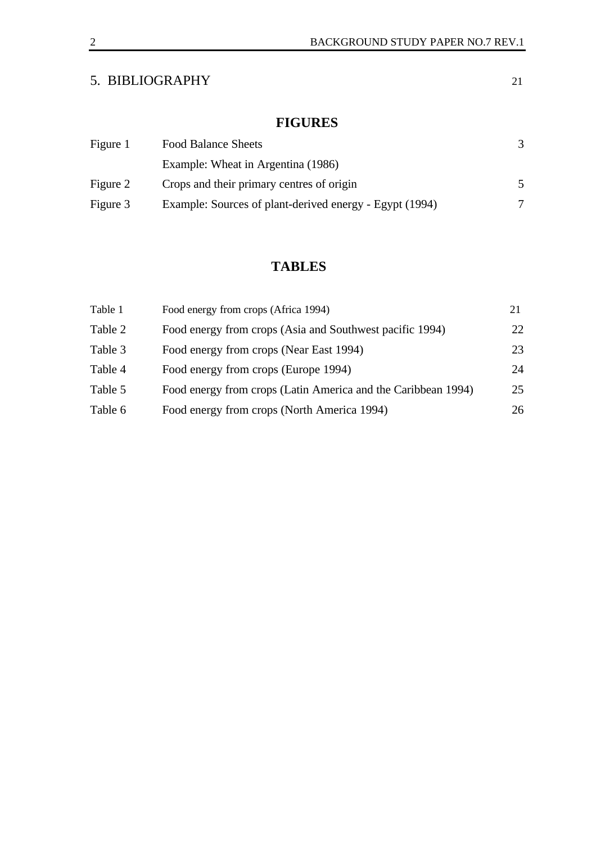## 5. BIBLIOGRAPHY 21

# **FIGURES**

| Figure 1 | <b>Food Balance Sheets</b>                              |   |
|----------|---------------------------------------------------------|---|
|          | Example: Wheat in Argentina (1986)                      |   |
| Figure 2 | Crops and their primary centres of origin               |   |
| Figure 3 | Example: Sources of plant-derived energy - Egypt (1994) | 7 |

# **TABLES**

| Table 1 | Food energy from crops (Africa 1994)                          | 21 |
|---------|---------------------------------------------------------------|----|
| Table 2 | Food energy from crops (Asia and Southwest pacific 1994)      | 22 |
| Table 3 | Food energy from crops (Near East 1994)                       | 23 |
| Table 4 | Food energy from crops (Europe 1994)                          | 24 |
| Table 5 | Food energy from crops (Latin America and the Caribbean 1994) | 25 |
| Table 6 | Food energy from crops (North America 1994)                   | 26 |
|         |                                                               |    |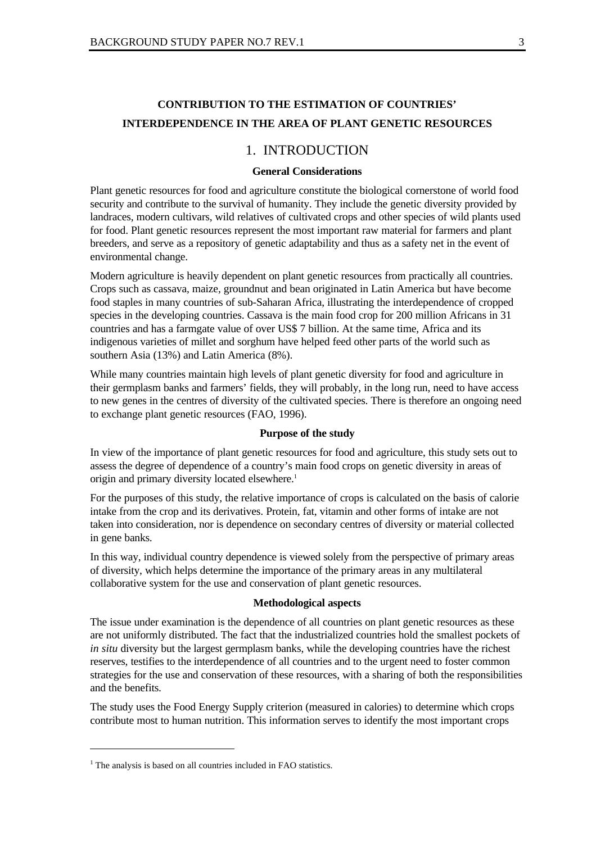## **CONTRIBUTION TO THE ESTIMATION OF COUNTRIES' INTERDEPENDENCE IN THE AREA OF PLANT GENETIC RESOURCES**

## 1. INTRODUCTION

#### **General Considerations**

Plant genetic resources for food and agriculture constitute the biological cornerstone of world food security and contribute to the survival of humanity. They include the genetic diversity provided by landraces, modern cultivars, wild relatives of cultivated crops and other species of wild plants used for food. Plant genetic resources represent the most important raw material for farmers and plant breeders, and serve as a repository of genetic adaptability and thus as a safety net in the event of environmental change.

Modern agriculture is heavily dependent on plant genetic resources from practically all countries. Crops such as cassava, maize, groundnut and bean originated in Latin America but have become food staples in many countries of sub-Saharan Africa, illustrating the interdependence of cropped species in the developing countries. Cassava is the main food crop for 200 million Africans in 31 countries and has a farmgate value of over US\$ 7 billion. At the same time, Africa and its indigenous varieties of millet and sorghum have helped feed other parts of the world such as southern Asia (13%) and Latin America (8%).

While many countries maintain high levels of plant genetic diversity for food and agriculture in their germplasm banks and farmers' fields, they will probably, in the long run, need to have access to new genes in the centres of diversity of the cultivated species. There is therefore an ongoing need to exchange plant genetic resources (FAO, 1996).

#### **Purpose of the study**

In view of the importance of plant genetic resources for food and agriculture, this study sets out to assess the degree of dependence of a country's main food crops on genetic diversity in areas of origin and primary diversity located elsewhere.<sup>1</sup>

For the purposes of this study, the relative importance of crops is calculated on the basis of calorie intake from the crop and its derivatives. Protein, fat, vitamin and other forms of intake are not taken into consideration, nor is dependence on secondary centres of diversity or material collected in gene banks.

In this way, individual country dependence is viewed solely from the perspective of primary areas of diversity, which helps determine the importance of the primary areas in any multilateral collaborative system for the use and conservation of plant genetic resources.

#### **Methodological aspects**

The issue under examination is the dependence of all countries on plant genetic resources as these are not uniformly distributed. The fact that the industrialized countries hold the smallest pockets of *in situ* diversity but the largest germplasm banks, while the developing countries have the richest reserves, testifies to the interdependence of all countries and to the urgent need to foster common strategies for the use and conservation of these resources, with a sharing of both the responsibilities and the benefits.

The study uses the Food Energy Supply criterion (measured in calories) to determine which crops contribute most to human nutrition. This information serves to identify the most important crops

 $<sup>1</sup>$  The analysis is based on all countries included in FAO statistics.</sup>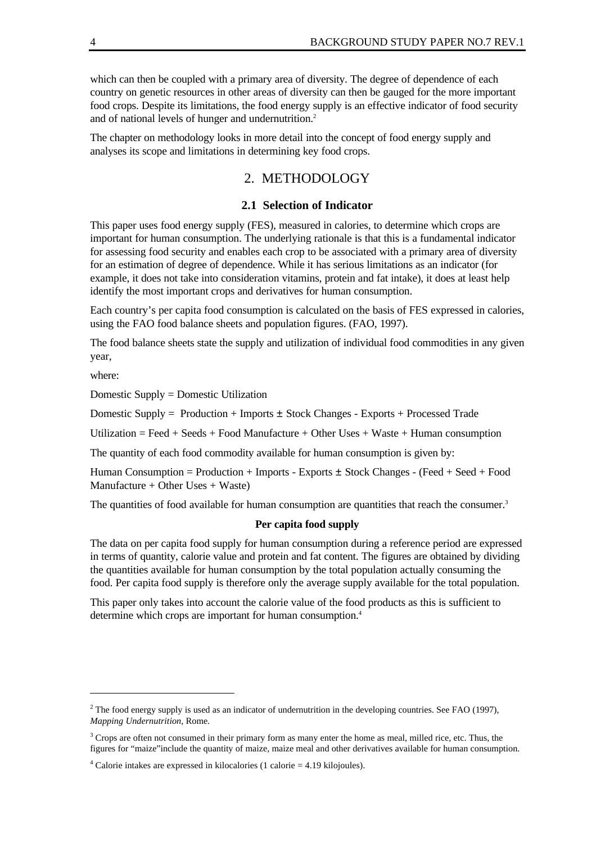which can then be coupled with a primary area of diversity. The degree of dependence of each country on genetic resources in other areas of diversity can then be gauged for the more important food crops. Despite its limitations, the food energy supply is an effective indicator of food security and of national levels of hunger and undernutrition.<sup>2</sup>

The chapter on methodology looks in more detail into the concept of food energy supply and analyses its scope and limitations in determining key food crops.

## 2. METHODOLOGY

#### **2.1 Selection of Indicator**

This paper uses food energy supply (FES), measured in calories, to determine which crops are important for human consumption. The underlying rationale is that this is a fundamental indicator for assessing food security and enables each crop to be associated with a primary area of diversity for an estimation of degree of dependence. While it has serious limitations as an indicator (for example, it does not take into consideration vitamins, protein and fat intake), it does at least help identify the most important crops and derivatives for human consumption.

Each country's per capita food consumption is calculated on the basis of FES expressed in calories, using the FAO food balance sheets and population figures. (FAO, 1997).

The food balance sheets state the supply and utilization of individual food commodities in any given year,

where:

 $\overline{a}$ 

Domestic Supply = Domestic Utilization

Domestic Supply = Production + Imports ± Stock Changes - Exports + Processed Trade

Utilization  $=$  Feed  $+$  Seeds  $+$  Food Manufacture  $+$  Other Uses  $+$  Waste  $+$  Human consumption

The quantity of each food commodity available for human consumption is given by:

Human Consumption = Production + Imports - Exports ± Stock Changes - (Feed + Seed + Food  $M$ anufacture + Other Uses + Waste)

The quantities of food available for human consumption are quantities that reach the consumer.<sup>3</sup>

#### **Per capita food supply**

The data on per capita food supply for human consumption during a reference period are expressed in terms of quantity, calorie value and protein and fat content. The figures are obtained by dividing the quantities available for human consumption by the total population actually consuming the food. Per capita food supply is therefore only the average supply available for the total population.

This paper only takes into account the calorie value of the food products as this is sufficient to determine which crops are important for human consumption.<sup>4</sup>

<sup>&</sup>lt;sup>2</sup> The food energy supply is used as an indicator of undernutrition in the developing countries. See FAO (1997), *Mapping Undernutrition*, Rome.

 $3^3$  Crops are often not consumed in their primary form as many enter the home as meal, milled rice, etc. Thus, the figures for "maize"include the quantity of maize, maize meal and other derivatives available for human consumption.

<sup>&</sup>lt;sup>4</sup> Calorie intakes are expressed in kilocalories (1 calorie = 4.19 kilojoules).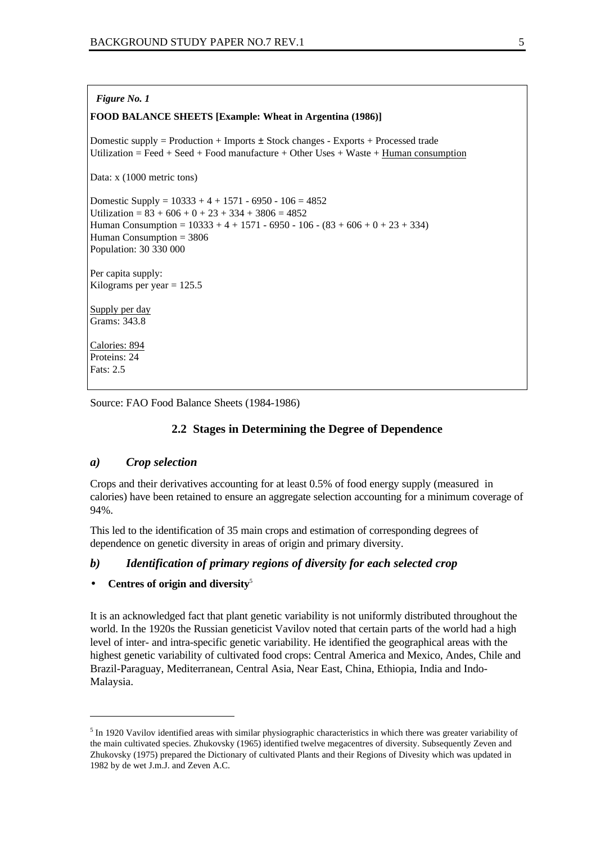#### *Figure No. 1*

#### **FOOD BALANCE SHEETS [Example: Wheat in Argentina (1986)]**

Domestic supply = Production + Imports  $\pm$  Stock changes - Exports + Processed trade Utilization = Feed + Seed + Food manufacture + Other Uses + Waste + Human consumption

Data: x (1000 metric tons)

Domestic Supply =  $10333 + 4 + 1571 - 6950 - 106 = 4852$ Utilization =  $83 + 606 + 0 + 23 + 334 + 3806 = 4852$ Human Consumption =  $10333 + 4 + 1571 - 6950 - 106 - (83 + 606 + 0 + 23 + 334)$ Human Consumption = 3806 Population: 30 330 000

Per capita supply: Kilograms per year  $= 125.5$ 

Supply per day Grams: 343.8

Calories: 894 Proteins: 24 Fats: 2.5

 $\overline{a}$ 

Source: FAO Food Balance Sheets (1984-1986)

## **2.2 Stages in Determining the Degree of Dependence**

#### *a) Crop selection*

Crops and their derivatives accounting for at least 0.5% of food energy supply (measured in calories) have been retained to ensure an aggregate selection accounting for a minimum coverage of 94%.

This led to the identification of 35 main crops and estimation of corresponding degrees of dependence on genetic diversity in areas of origin and primary diversity.

### *b) Identification of primary regions of diversity for each selected crop*

#### • **Centres of origin and diversity**<sup>5</sup>

It is an acknowledged fact that plant genetic variability is not uniformly distributed throughout the world. In the 1920s the Russian geneticist Vavilov noted that certain parts of the world had a high level of inter- and intra-specific genetic variability. He identified the geographical areas with the highest genetic variability of cultivated food crops: Central America and Mexico, Andes, Chile and Brazil-Paraguay, Mediterranean, Central Asia, Near East, China, Ethiopia, India and Indo-Malaysia.

<sup>&</sup>lt;sup>5</sup> In 1920 Vavilov identified areas with similar physiographic characteristics in which there was greater variability of the main cultivated species. Zhukovsky (1965) identified twelve megacentres of diversity. Subsequently Zeven and Zhukovsky (1975) prepared the Dictionary of cultivated Plants and their Regions of Divesity which was updated in 1982 by de wet J.m.J. and Zeven A.C.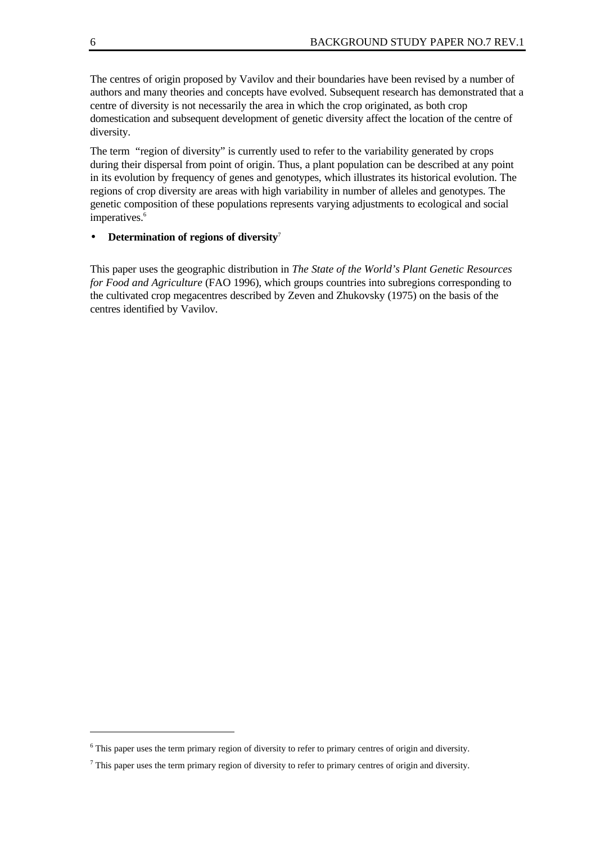The centres of origin proposed by Vavilov and their boundaries have been revised by a number of authors and many theories and concepts have evolved. Subsequent research has demonstrated that a centre of diversity is not necessarily the area in which the crop originated, as both crop domestication and subsequent development of genetic diversity affect the location of the centre of diversity.

The term "region of diversity" is currently used to refer to the variability generated by crops during their dispersal from point of origin. Thus, a plant population can be described at any point in its evolution by frequency of genes and genotypes, which illustrates its historical evolution. The regions of crop diversity are areas with high variability in number of alleles and genotypes. The genetic composition of these populations represents varying adjustments to ecological and social imperatives.<sup>6</sup>

### • **Determination of regions of diversity**<sup>7</sup>

This paper uses the geographic distribution in *The State of the World's Plant Genetic Resources for Food and Agriculture* (FAO 1996), which groups countries into subregions corresponding to the cultivated crop megacentres described by Zeven and Zhukovsky (1975) on the basis of the centres identified by Vavilov.

<sup>&</sup>lt;sup>6</sup> This paper uses the term primary region of diversity to refer to primary centres of origin and diversity.

 $<sup>7</sup>$  This paper uses the term primary region of diversity to refer to primary centres of origin and diversity.</sup>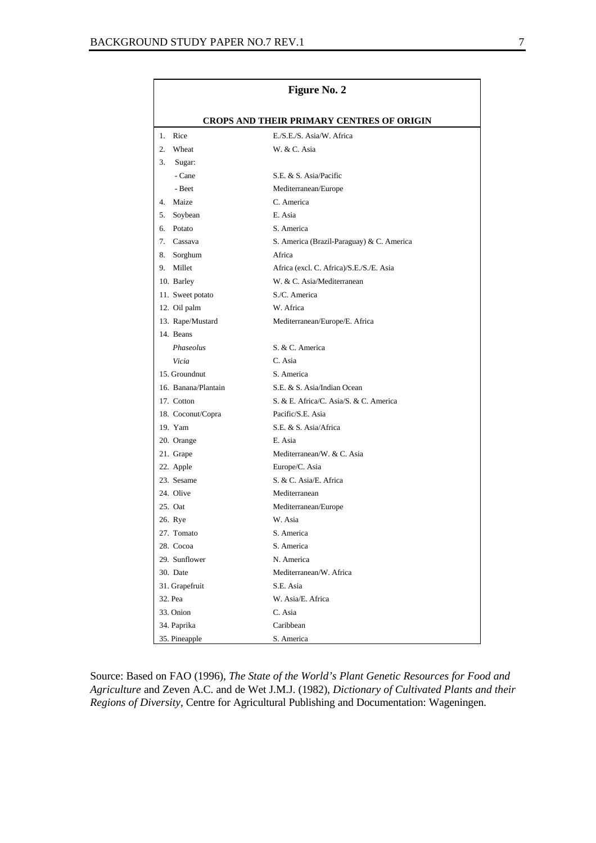|                     | Figure No. 2                                     |
|---------------------|--------------------------------------------------|
|                     | <b>CROPS AND THEIR PRIMARY CENTRES OF ORIGIN</b> |
| Rice<br>$1_{-}$     | E./S.E./S. Asia/W. Africa                        |
| 2.<br>Wheat         | W. & C. Asia                                     |
| 3.<br>Sugar:        |                                                  |
| - Cane              | S.E. & S. Asia/Pacific                           |
| - Beet              | Mediterranean/Europe                             |
| 4. Maize            | C. America                                       |
| 5.<br>Soybean       | E. Asia                                          |
| 6. Potato           | S. America                                       |
| 7. Cassava          | S. America (Brazil-Paraguay) & C. America        |
| 8. Sorghum          | Africa                                           |
| 9.<br>Millet        | Africa (excl. C. Africa)/S.E./S./E. Asia         |
| 10. Barley          | W. & C. Asia/Mediterranean                       |
| 11. Sweet potato    | S./C. America                                    |
| 12. Oil palm        | W. Africa                                        |
| 13. Rape/Mustard    | Mediterranean/Europe/E. Africa                   |
| 14. Beans           |                                                  |
| Phaseolus           | S. & C. America                                  |
| Vicia               | C. Asia                                          |
| 15. Groundnut       | S. America                                       |
| 16. Banana/Plantain | S.E. & S. Asia/Indian Ocean                      |
| 17. Cotton          | S. & E. Africa/C. Asia/S. & C. America           |
| 18. Coconut/Copra   | Pacific/S.E. Asia                                |
| 19. Yam             | S.E. & S. Asia/Africa                            |
| 20. Orange          | E. Asia                                          |
| 21. Grape           | Mediterranean/W. & C. Asia                       |
| 22. Apple           | Europe/C. Asia                                   |
| 23. Sesame          | S. & C. Asia/E. Africa                           |
| 24. Olive           | Mediterranean                                    |
| 25. Oat             | Mediterranean/Europe                             |
| 26. Rye             | W. Asia                                          |
| 27. Tomato          | S. America                                       |
| 28. Cocoa           | S. America                                       |
| 29. Sunflower       | N. America                                       |
| 30. Date            | Mediterranean/W. Africa                          |
| 31. Grapefruit      | S.E. Asia                                        |
| 32. Pea             | W. Asia/E. Africa                                |
| 33. Onion           | C. Asia                                          |
| 34. Paprika         | Caribbean                                        |
| 35. Pineapple       | S. America                                       |

Source: Based on FAO (1996), *The State of the World's Plant Genetic Resources for Food and Agriculture* and Zeven A.C. and de Wet J.M.J. (1982), *Dictionary of Cultivated Plants and their Regions of Diversity*, Centre for Agricultural Publishing and Documentation: Wageningen.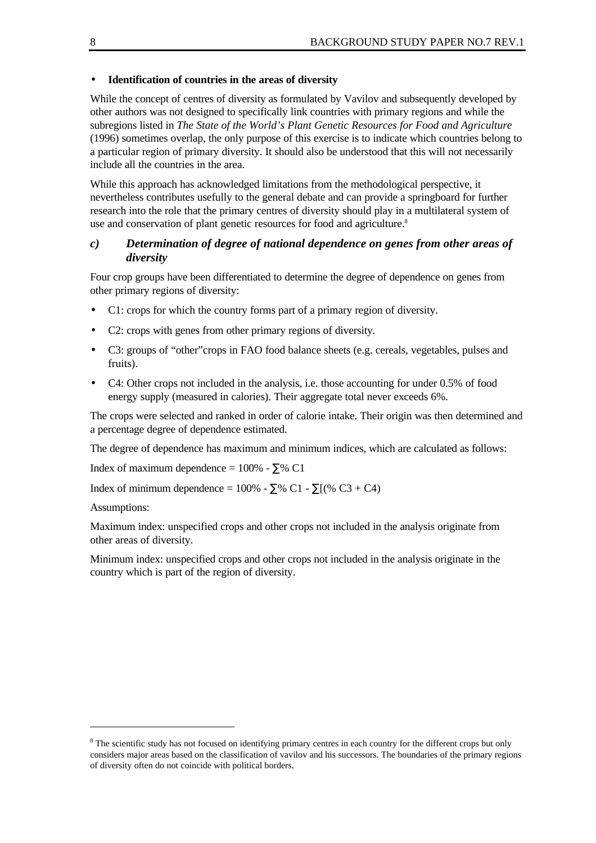#### • **Identification of countries in the areas of diversity**

While the concept of centres of diversity as formulated by Vavilov and subsequently developed by other authors was not designed to specifically link countries with primary regions and while the subregions listed in *The State of the World's Plant Genetic Resources for Food and Agriculture* (1996) sometimes overlap, the only purpose of this exercise is to indicate which countries belong to a particular region of primary diversity. It should also be understood that this will not necessarily include all the countries in the area.

While this approach has acknowledged limitations from the methodological perspective, it nevertheless contributes usefully to the general debate and can provide a springboard for further research into the role that the primary centres of diversity should play in a multilateral system of use and conservation of plant genetic resources for food and agriculture.<sup>8</sup>

## *c) Determination of degree of national dependence on genes from other areas of diversity*

Four crop groups have been differentiated to determine the degree of dependence on genes from other primary regions of diversity:

- C1: crops for which the country forms part of a primary region of diversity.
- C2: crops with genes from other primary regions of diversity.
- C3: groups of "other"crops in FAO food balance sheets (e.g. cereals, vegetables, pulses and fruits).
- C4: Other crops not included in the analysis, i.e. those accounting for under 0.5% of food energy supply (measured in calories). Their aggregate total never exceeds 6%.

The crops were selected and ranked in order of calorie intake. Their origin was then determined and a percentage degree of dependence estimated.

The degree of dependence has maximum and minimum indices, which are calculated as follows:

Index of maximum dependence =  $100\%$  -  $\Sigma\%$  C1

Index of minimum dependence =  $100\%$  -  $\Sigma\%$  C1 -  $\Sigma$ [(% C3 + C4)

Assumptions:

 $\overline{a}$ 

Maximum index: unspecified crops and other crops not included in the analysis originate from other areas of diversity.

Minimum index: unspecified crops and other crops not included in the analysis originate in the country which is part of the region of diversity.

<sup>&</sup>lt;sup>8</sup> The scientific study has not focused on identifying primary centres in each country for the different crops but only considers major areas based on the classification of vavilov and his successors. The boundaries of the primary regions of diversity often do not coincide with political borders.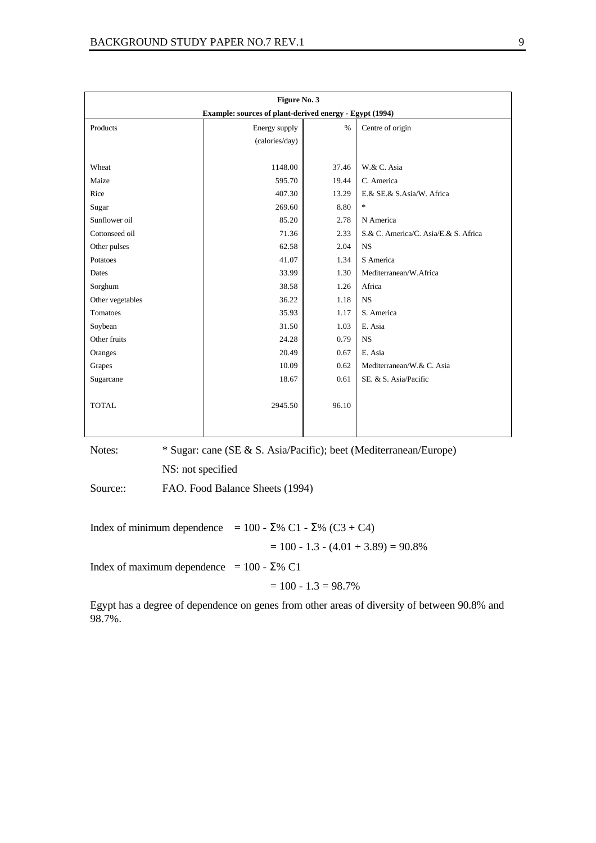|                  | Figure No. 3                                            |       |                                      |
|------------------|---------------------------------------------------------|-------|--------------------------------------|
|                  | Example: sources of plant-derived energy - Egypt (1994) |       |                                      |
| Products         | Energy supply                                           | $\%$  | Centre of origin                     |
|                  | (calories/day)                                          |       |                                      |
|                  |                                                         |       |                                      |
| Wheat            | 1148.00                                                 | 37.46 | W.& C. Asia                          |
| Maize            | 595.70                                                  | 19.44 | C. America                           |
| Rice             | 407.30                                                  | 13.29 | E.& SE.& S.Asia/W. Africa            |
| Sugar            | 269.60                                                  | 8.80  | $\ast$                               |
| Sunflower oil    | 85.20                                                   | 2.78  | N America                            |
| Cottonseed oil   | 71.36                                                   | 2.33  | S.& C. America/C. Asia/E.& S. Africa |
| Other pulses     | 62.58                                                   | 2.04  | <b>NS</b>                            |
| Potatoes         | 41.07                                                   | 1.34  | S America                            |
| Dates            | 33.99                                                   | 1.30  | Mediterranean/W.Africa               |
| Sorghum          | 38.58                                                   | 1.26  | Africa                               |
| Other vegetables | 36.22                                                   | 1.18  | <b>NS</b>                            |
| Tomatoes         | 35.93                                                   | 1.17  | S. America                           |
| Soybean          | 31.50                                                   | 1.03  | E. Asia                              |
| Other fruits     | 24.28                                                   | 0.79  | <b>NS</b>                            |
| Oranges          | 20.49                                                   | 0.67  | E. Asia                              |
| Grapes           | 10.09                                                   | 0.62  | Mediterranean/W.& C. Asia            |
| Sugarcane        | 18.67                                                   | 0.61  | SE. & S. Asia/Pacific                |
|                  |                                                         |       |                                      |
| <b>TOTAL</b>     | 2945.50                                                 | 96.10 |                                      |
|                  |                                                         |       |                                      |
|                  |                                                         |       |                                      |

Notes: \* Sugar: cane (SE & S. Asia/Pacific); beet (Mediterranean/Europe) NS: not specified

Source:: FAO. Food Balance Sheets (1994)

Index of minimum dependence =  $100 - \Sigma\% \text{ C1} - \Sigma\% \text{ (C3 + C4)}$  $= 100 - 1.3 - (4.01 + 3.89) = 90.8\%$ 

Index of maximum dependence =  $100 - \Sigma\%$  C1

$$
= 100 - 1.3 = 98.7\%
$$

Egypt has a degree of dependence on genes from other areas of diversity of between 90.8% and 98.7%.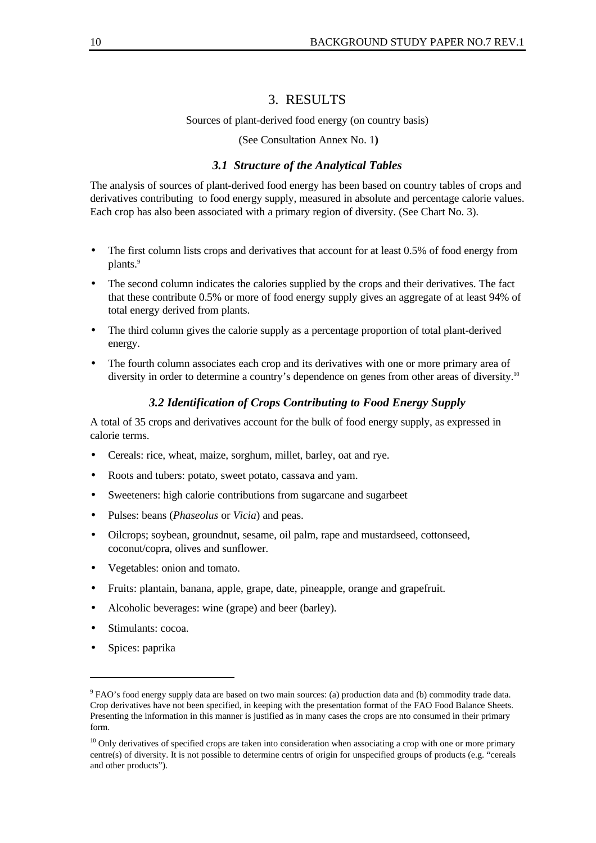## 3. RESULTS

#### Sources of plant-derived food energy (on country basis)

(See Consultation Annex No. 1**)**

## *3.1 Structure of the Analytical Tables*

The analysis of sources of plant-derived food energy has been based on country tables of crops and derivatives contributing to food energy supply, measured in absolute and percentage calorie values. Each crop has also been associated with a primary region of diversity. (See Chart No. 3).

- The first column lists crops and derivatives that account for at least 0.5% of food energy from plants.<sup>9</sup>
- The second column indicates the calories supplied by the crops and their derivatives. The fact that these contribute 0.5% or more of food energy supply gives an aggregate of at least 94% of total energy derived from plants.
- The third column gives the calorie supply as a percentage proportion of total plant-derived energy.
- The fourth column associates each crop and its derivatives with one or more primary area of diversity in order to determine a country's dependence on genes from other areas of diversity.<sup>10</sup>

## *3.2 Identification of Crops Contributing to Food Energy Supply*

A total of 35 crops and derivatives account for the bulk of food energy supply, as expressed in calorie terms.

- Cereals: rice, wheat, maize, sorghum, millet, barley, oat and rye.
- Roots and tubers: potato, sweet potato, cassava and yam.
- Sweeteners: high calorie contributions from sugarcane and sugarbeet
- Pulses: beans (*Phaseolus* or *Vicia*) and peas.
- Oilcrops; soybean, groundnut, sesame, oil palm, rape and mustardseed, cottonseed, coconut/copra, olives and sunflower.
- Vegetables: onion and tomato.
- Fruits: plantain, banana, apple, grape, date, pineapple, orange and grapefruit.
- Alcoholic beverages: wine (grape) and beer (barley).
- Stimulants: cocoa.
- Spices: paprika

 $9$  FAO's food energy supply data are based on two main sources: (a) production data and (b) commodity trade data. Crop derivatives have not been specified, in keeping with the presentation format of the FAO Food Balance Sheets. Presenting the information in this manner is justified as in many cases the crops are nto consumed in their primary form.

 $10$  Only derivatives of specified crops are taken into consideration when associating a crop with one or more primary centre(s) of diversity. It is not possible to determine centrs of origin for unspecified groups of products (e.g. "cereals and other products").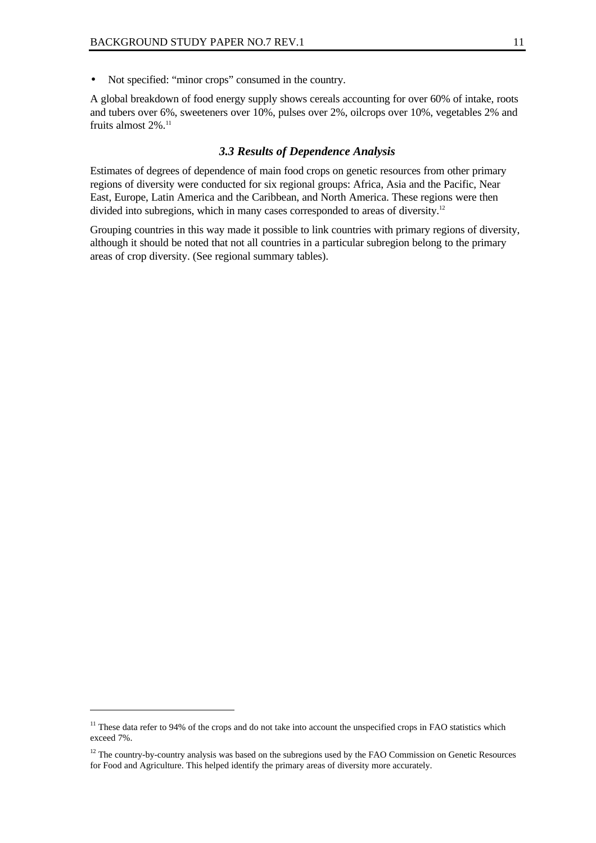• Not specified: "minor crops" consumed in the country.

A global breakdown of food energy supply shows cereals accounting for over 60% of intake, roots and tubers over 6%, sweeteners over 10%, pulses over 2%, oilcrops over 10%, vegetables 2% and fruits almost 2%.<sup>11</sup>

#### *3.3 Results of Dependence Analysis*

Estimates of degrees of dependence of main food crops on genetic resources from other primary regions of diversity were conducted for six regional groups: Africa, Asia and the Pacific, Near East, Europe, Latin America and the Caribbean, and North America. These regions were then divided into subregions, which in many cases corresponded to areas of diversity.<sup>12</sup>

Grouping countries in this way made it possible to link countries with primary regions of diversity, although it should be noted that not all countries in a particular subregion belong to the primary areas of crop diversity. (See regional summary tables).

 $11$  These data refer to 94% of the crops and do not take into account the unspecified crops in FAO statistics which exceed 7%.

 $12$  The country-by-country analysis was based on the subregions used by the FAO Commission on Genetic Resources for Food and Agriculture. This helped identify the primary areas of diversity more accurately.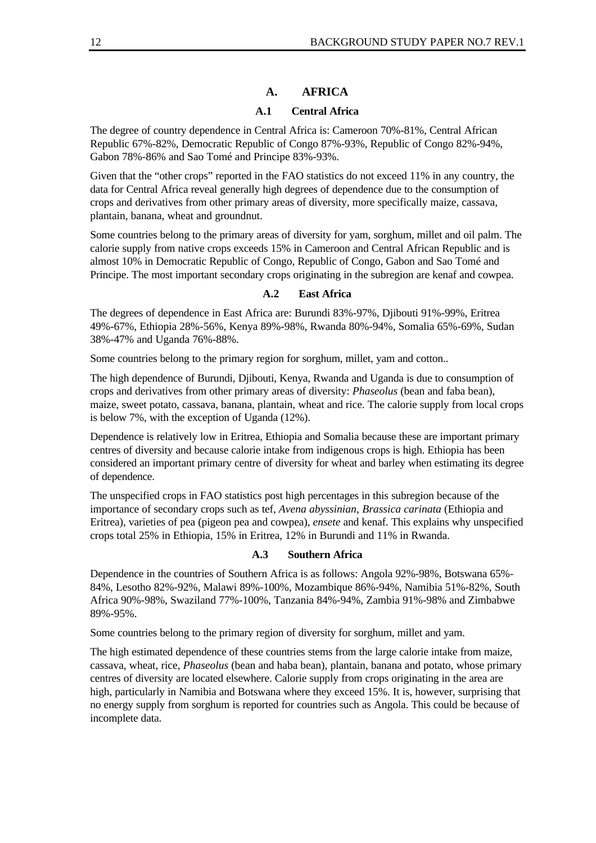## **A. AFRICA**

#### **A.1 Central Africa**

The degree of country dependence in Central Africa is: Cameroon 70%-81%, Central African Republic 67%-82%, Democratic Republic of Congo 87%-93%, Republic of Congo 82%-94%, Gabon 78%-86% and Sao Tomé and Principe 83%-93%.

Given that the "other crops" reported in the FAO statistics do not exceed 11% in any country, the data for Central Africa reveal generally high degrees of dependence due to the consumption of crops and derivatives from other primary areas of diversity, more specifically maize, cassava, plantain, banana, wheat and groundnut.

Some countries belong to the primary areas of diversity for yam, sorghum, millet and oil palm. The calorie supply from native crops exceeds 15% in Cameroon and Central African Republic and is almost 10% in Democratic Republic of Congo, Republic of Congo, Gabon and Sao Tomé and Principe. The most important secondary crops originating in the subregion are kenaf and cowpea.

### **A.2 East Africa**

The degrees of dependence in East Africa are: Burundi 83%-97%, Djibouti 91%-99%, Eritrea 49%-67%, Ethiopia 28%-56%, Kenya 89%-98%, Rwanda 80%-94%, Somalia 65%-69%, Sudan 38%-47% and Uganda 76%-88%.

Some countries belong to the primary region for sorghum, millet, yam and cotton..

The high dependence of Burundi, Djibouti, Kenya, Rwanda and Uganda is due to consumption of crops and derivatives from other primary areas of diversity: *Phaseolus* (bean and faba bean), maize, sweet potato, cassava, banana, plantain, wheat and rice. The calorie supply from local crops is below 7%, with the exception of Uganda (12%).

Dependence is relatively low in Eritrea, Ethiopia and Somalia because these are important primary centres of diversity and because calorie intake from indigenous crops is high. Ethiopia has been considered an important primary centre of diversity for wheat and barley when estimating its degree of dependence.

The unspecified crops in FAO statistics post high percentages in this subregion because of the importance of secondary crops such as tef, *Avena abyssinian*, *Brassica carinata* (Ethiopia and Eritrea), varieties of pea (pigeon pea and cowpea), *ensete* and kenaf. This explains why unspecified crops total 25% in Ethiopia, 15% in Eritrea, 12% in Burundi and 11% in Rwanda.

#### **A.3 Southern Africa**

Dependence in the countries of Southern Africa is as follows: Angola 92%-98%, Botswana 65%- 84%, Lesotho 82%-92%, Malawi 89%-100%, Mozambique 86%-94%, Namibia 51%-82%, South Africa 90%-98%, Swaziland 77%-100%, Tanzania 84%-94%, Zambia 91%-98% and Zimbabwe 89%-95%.

Some countries belong to the primary region of diversity for sorghum, millet and yam.

The high estimated dependence of these countries stems from the large calorie intake from maize, cassava, wheat, rice, *Phaseolus* (bean and haba bean), plantain, banana and potato, whose primary centres of diversity are located elsewhere. Calorie supply from crops originating in the area are high, particularly in Namibia and Botswana where they exceed 15%. It is, however, surprising that no energy supply from sorghum is reported for countries such as Angola. This could be because of incomplete data.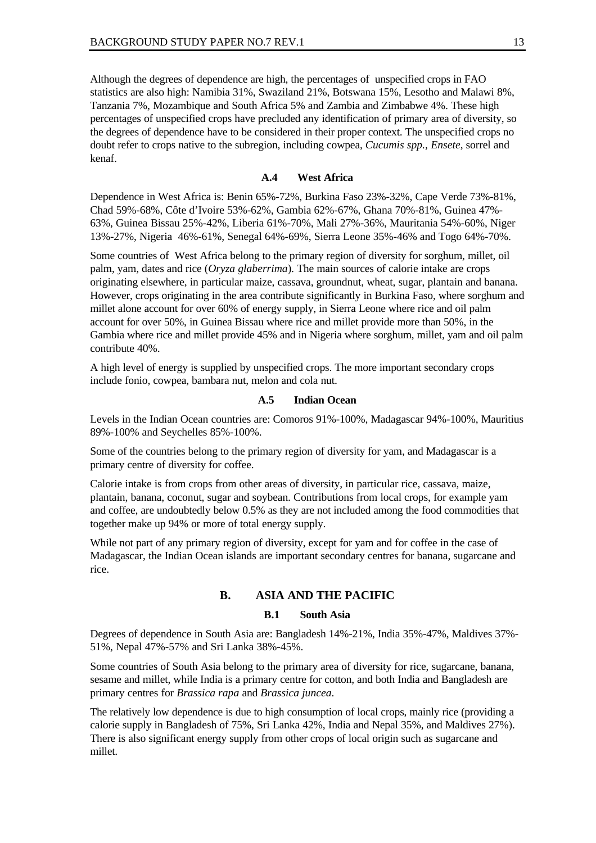Although the degrees of dependence are high, the percentages of unspecified crops in FAO statistics are also high: Namibia 31%, Swaziland 21%, Botswana 15%, Lesotho and Malawi 8%, Tanzania 7%, Mozambique and South Africa 5% and Zambia and Zimbabwe 4%. These high percentages of unspecified crops have precluded any identification of primary area of diversity, so the degrees of dependence have to be considered in their proper context. The unspecified crops no doubt refer to crops native to the subregion, including cowpea, *Cucumis spp., Ensete*, sorrel and kenaf.

#### **A.4 West Africa**

Dependence in West Africa is: Benin 65%-72%, Burkina Faso 23%-32%, Cape Verde 73%-81%, Chad 59%-68%, Côte d'Ivoire 53%-62%, Gambia 62%-67%, Ghana 70%-81%, Guinea 47%- 63%, Guinea Bissau 25%-42%, Liberia 61%-70%, Mali 27%-36%, Mauritania 54%-60%, Niger 13%-27%, Nigeria 46%-61%, Senegal 64%-69%, Sierra Leone 35%-46% and Togo 64%-70%.

Some countries of West Africa belong to the primary region of diversity for sorghum, millet, oil palm, yam, dates and rice (*Oryza glaberrima*). The main sources of calorie intake are crops originating elsewhere, in particular maize, cassava, groundnut, wheat, sugar, plantain and banana. However, crops originating in the area contribute significantly in Burkina Faso, where sorghum and millet alone account for over 60% of energy supply, in Sierra Leone where rice and oil palm account for over 50%, in Guinea Bissau where rice and millet provide more than 50%, in the Gambia where rice and millet provide 45% and in Nigeria where sorghum, millet, yam and oil palm contribute 40%.

A high level of energy is supplied by unspecified crops. The more important secondary crops include fonio, cowpea, bambara nut, melon and cola nut.

#### **A.5 Indian Ocean**

Levels in the Indian Ocean countries are: Comoros 91%-100%, Madagascar 94%-100%, Mauritius 89%-100% and Seychelles 85%-100%.

Some of the countries belong to the primary region of diversity for yam, and Madagascar is a primary centre of diversity for coffee.

Calorie intake is from crops from other areas of diversity, in particular rice, cassava, maize, plantain, banana, coconut, sugar and soybean. Contributions from local crops, for example yam and coffee, are undoubtedly below 0.5% as they are not included among the food commodities that together make up 94% or more of total energy supply.

While not part of any primary region of diversity, except for yam and for coffee in the case of Madagascar, the Indian Ocean islands are important secondary centres for banana, sugarcane and rice.

#### **B. ASIA AND THE PACIFIC**

#### **B.1 South Asia**

Degrees of dependence in South Asia are: Bangladesh 14%-21%, India 35%-47%, Maldives 37%- 51%, Nepal 47%-57% and Sri Lanka 38%-45%.

Some countries of South Asia belong to the primary area of diversity for rice, sugarcane, banana, sesame and millet, while India is a primary centre for cotton, and both India and Bangladesh are primary centres for *Brassica rapa* and *Brassica juncea*.

The relatively low dependence is due to high consumption of local crops, mainly rice (providing a calorie supply in Bangladesh of 75%, Sri Lanka 42%, India and Nepal 35%, and Maldives 27%). There is also significant energy supply from other crops of local origin such as sugarcane and millet.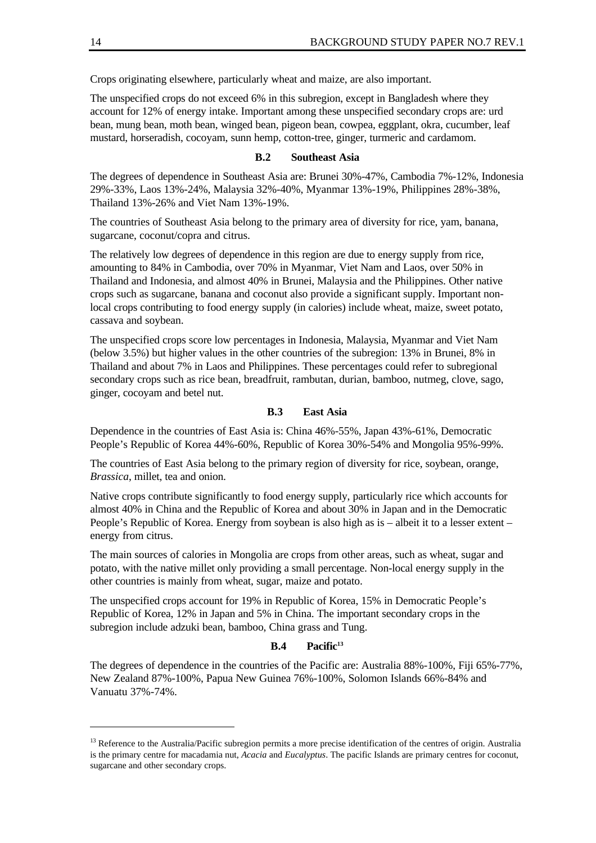Crops originating elsewhere, particularly wheat and maize, are also important.

The unspecified crops do not exceed 6% in this subregion, except in Bangladesh where they account for 12% of energy intake. Important among these unspecified secondary crops are: urd bean, mung bean, moth bean, winged bean, pigeon bean, cowpea, eggplant, okra, cucumber, leaf mustard, horseradish, cocoyam, sunn hemp, cotton-tree, ginger, turmeric and cardamom.

#### **B.2 Southeast Asia**

The degrees of dependence in Southeast Asia are: Brunei 30%-47%, Cambodia 7%-12%, Indonesia 29%-33%, Laos 13%-24%, Malaysia 32%-40%, Myanmar 13%-19%, Philippines 28%-38%, Thailand 13%-26% and Viet Nam 13%-19%.

The countries of Southeast Asia belong to the primary area of diversity for rice, yam, banana, sugarcane, coconut/copra and citrus.

The relatively low degrees of dependence in this region are due to energy supply from rice, amounting to 84% in Cambodia, over 70% in Myanmar, Viet Nam and Laos, over 50% in Thailand and Indonesia, and almost 40% in Brunei, Malaysia and the Philippines. Other native crops such as sugarcane, banana and coconut also provide a significant supply. Important nonlocal crops contributing to food energy supply (in calories) include wheat, maize, sweet potato, cassava and soybean.

The unspecified crops score low percentages in Indonesia, Malaysia, Myanmar and Viet Nam (below 3.5%) but higher values in the other countries of the subregion: 13% in Brunei, 8% in Thailand and about 7% in Laos and Philippines. These percentages could refer to subregional secondary crops such as rice bean, breadfruit, rambutan, durian, bamboo, nutmeg, clove, sago, ginger, cocoyam and betel nut.

#### **B.3 East Asia**

Dependence in the countries of East Asia is: China 46%-55%, Japan 43%-61%, Democratic People's Republic of Korea 44%-60%, Republic of Korea 30%-54% and Mongolia 95%-99%.

The countries of East Asia belong to the primary region of diversity for rice, soybean, orange, *Brassica*, millet, tea and onion.

Native crops contribute significantly to food energy supply, particularly rice which accounts for almost 40% in China and the Republic of Korea and about 30% in Japan and in the Democratic People's Republic of Korea. Energy from soybean is also high as is – albeit it to a lesser extent – energy from citrus.

The main sources of calories in Mongolia are crops from other areas, such as wheat, sugar and potato, with the native millet only providing a small percentage. Non-local energy supply in the other countries is mainly from wheat, sugar, maize and potato.

The unspecified crops account for 19% in Republic of Korea, 15% in Democratic People's Republic of Korea, 12% in Japan and 5% in China. The important secondary crops in the subregion include adzuki bean, bamboo, China grass and Tung.

#### **B.4 Pacific<sup>13</sup>**

The degrees of dependence in the countries of the Pacific are: Australia 88%-100%, Fiji 65%-77%, New Zealand 87%-100%, Papua New Guinea 76%-100%, Solomon Islands 66%-84% and Vanuatu 37%-74%.

<sup>&</sup>lt;sup>13</sup> Reference to the Australia/Pacific subregion permits a more precise identification of the centres of origin. Australia is the primary centre for macadamia nut, *Acacia* and *Eucalyptus*. The pacific Islands are primary centres for coconut, sugarcane and other secondary crops.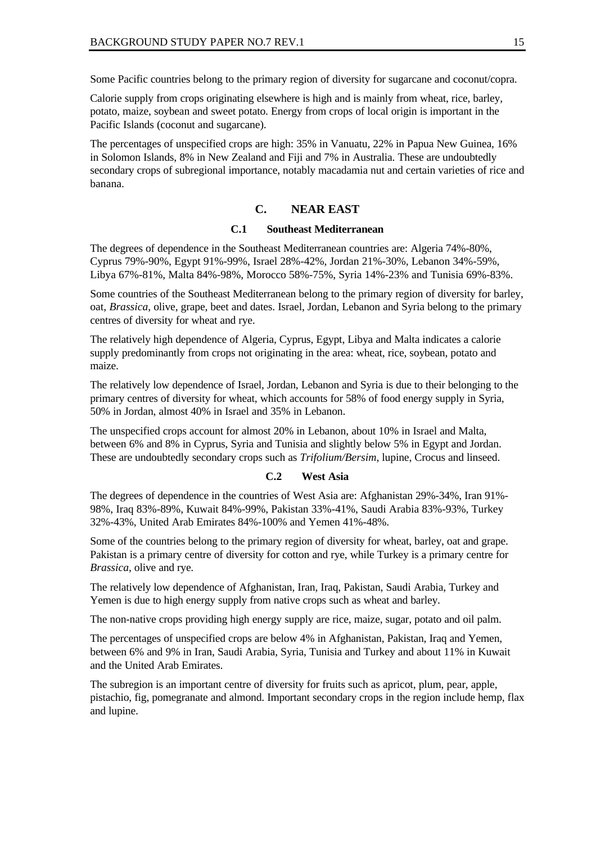Some Pacific countries belong to the primary region of diversity for sugarcane and coconut/copra.

Calorie supply from crops originating elsewhere is high and is mainly from wheat, rice, barley, potato, maize, soybean and sweet potato. Energy from crops of local origin is important in the Pacific Islands (coconut and sugarcane).

The percentages of unspecified crops are high: 35% in Vanuatu, 22% in Papua New Guinea, 16% in Solomon Islands, 8% in New Zealand and Fiji and 7% in Australia. These are undoubtedly secondary crops of subregional importance, notably macadamia nut and certain varieties of rice and banana.

### **C. NEAR EAST**

#### **C.1 Southeast Mediterranean**

The degrees of dependence in the Southeast Mediterranean countries are: Algeria 74%-80%, Cyprus 79%-90%, Egypt 91%-99%, Israel 28%-42%, Jordan 21%-30%, Lebanon 34%-59%, Libya 67%-81%, Malta 84%-98%, Morocco 58%-75%, Syria 14%-23% and Tunisia 69%-83%.

Some countries of the Southeast Mediterranean belong to the primary region of diversity for barley, oat, *Brassica*, olive, grape, beet and dates. Israel, Jordan, Lebanon and Syria belong to the primary centres of diversity for wheat and rye.

The relatively high dependence of Algeria, Cyprus, Egypt, Libya and Malta indicates a calorie supply predominantly from crops not originating in the area: wheat, rice, soybean, potato and maize.

The relatively low dependence of Israel, Jordan, Lebanon and Syria is due to their belonging to the primary centres of diversity for wheat, which accounts for 58% of food energy supply in Syria, 50% in Jordan, almost 40% in Israel and 35% in Lebanon.

The unspecified crops account for almost 20% in Lebanon, about 10% in Israel and Malta, between 6% and 8% in Cyprus, Syria and Tunisia and slightly below 5% in Egypt and Jordan. These are undoubtedly secondary crops such as *Trifolium/Bersim*, lupine, Crocus and linseed.

#### **C.2 West Asia**

The degrees of dependence in the countries of West Asia are: Afghanistan 29%-34%, Iran 91%- 98%, Iraq 83%-89%, Kuwait 84%-99%, Pakistan 33%-41%, Saudi Arabia 83%-93%, Turkey 32%-43%, United Arab Emirates 84%-100% and Yemen 41%-48%.

Some of the countries belong to the primary region of diversity for wheat, barley, oat and grape. Pakistan is a primary centre of diversity for cotton and rye, while Turkey is a primary centre for *Brassica*, olive and rye.

The relatively low dependence of Afghanistan, Iran, Iraq, Pakistan, Saudi Arabia, Turkey and Yemen is due to high energy supply from native crops such as wheat and barley.

The non-native crops providing high energy supply are rice, maize, sugar, potato and oil palm.

The percentages of unspecified crops are below 4% in Afghanistan, Pakistan, Iraq and Yemen, between 6% and 9% in Iran, Saudi Arabia, Syria, Tunisia and Turkey and about 11% in Kuwait and the United Arab Emirates.

The subregion is an important centre of diversity for fruits such as apricot, plum, pear, apple, pistachio, fig, pomegranate and almond. Important secondary crops in the region include hemp, flax and lupine.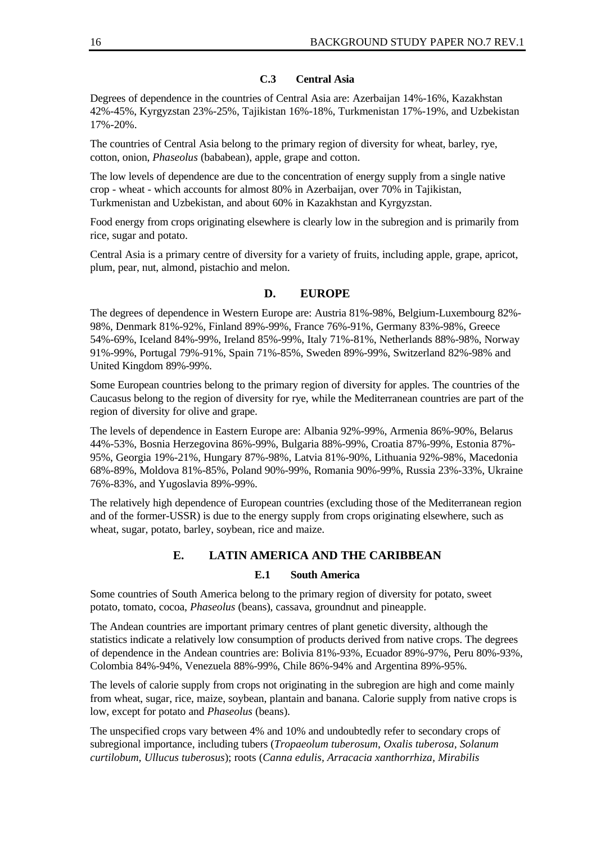#### **C.3 Central Asia**

Degrees of dependence in the countries of Central Asia are: Azerbaijan 14%-16%, Kazakhstan 42%-45%, Kyrgyzstan 23%-25%, Tajikistan 16%-18%, Turkmenistan 17%-19%, and Uzbekistan 17%-20%.

The countries of Central Asia belong to the primary region of diversity for wheat, barley, rye, cotton, onion, *Phaseolus* (bababean), apple, grape and cotton.

The low levels of dependence are due to the concentration of energy supply from a single native crop - wheat - which accounts for almost 80% in Azerbaijan, over 70% in Tajikistan, Turkmenistan and Uzbekistan, and about 60% in Kazakhstan and Kyrgyzstan.

Food energy from crops originating elsewhere is clearly low in the subregion and is primarily from rice, sugar and potato.

Central Asia is a primary centre of diversity for a variety of fruits, including apple, grape, apricot, plum, pear, nut, almond, pistachio and melon.

## **D. EUROPE**

The degrees of dependence in Western Europe are: Austria 81%-98%, Belgium-Luxembourg 82%- 98%, Denmark 81%-92%, Finland 89%-99%, France 76%-91%, Germany 83%-98%, Greece 54%-69%, Iceland 84%-99%, Ireland 85%-99%, Italy 71%-81%, Netherlands 88%-98%, Norway 91%-99%, Portugal 79%-91%, Spain 71%-85%, Sweden 89%-99%, Switzerland 82%-98% and United Kingdom 89%-99%.

Some European countries belong to the primary region of diversity for apples. The countries of the Caucasus belong to the region of diversity for rye, while the Mediterranean countries are part of the region of diversity for olive and grape.

The levels of dependence in Eastern Europe are: Albania 92%-99%, Armenia 86%-90%, Belarus 44%-53%, Bosnia Herzegovina 86%-99%, Bulgaria 88%-99%, Croatia 87%-99%, Estonia 87%- 95%, Georgia 19%-21%, Hungary 87%-98%, Latvia 81%-90%, Lithuania 92%-98%, Macedonia 68%-89%, Moldova 81%-85%, Poland 90%-99%, Romania 90%-99%, Russia 23%-33%, Ukraine 76%-83%, and Yugoslavia 89%-99%.

The relatively high dependence of European countries (excluding those of the Mediterranean region and of the former-USSR) is due to the energy supply from crops originating elsewhere, such as wheat, sugar, potato, barley, soybean, rice and maize.

## **E. LATIN AMERICA AND THE CARIBBEAN**

#### **E.1 South America**

Some countries of South America belong to the primary region of diversity for potato, sweet potato, tomato, cocoa, *Phaseolus* (beans), cassava, groundnut and pineapple.

The Andean countries are important primary centres of plant genetic diversity, although the statistics indicate a relatively low consumption of products derived from native crops. The degrees of dependence in the Andean countries are: Bolivia 81%-93%, Ecuador 89%-97%, Peru 80%-93%, Colombia 84%-94%, Venezuela 88%-99%, Chile 86%-94% and Argentina 89%-95%.

The levels of calorie supply from crops not originating in the subregion are high and come mainly from wheat, sugar, rice, maize, soybean, plantain and banana. Calorie supply from native crops is low, except for potato and *Phaseolus* (beans).

The unspecified crops vary between 4% and 10% and undoubtedly refer to secondary crops of subregional importance, including tubers (*Tropaeolum tuberosum*, *Oxalis tuberosa, Solanum curtilobum, Ullucus tuberosus*); roots (*Canna edulis, Arracacia xanthorrhiza, Mirabilis*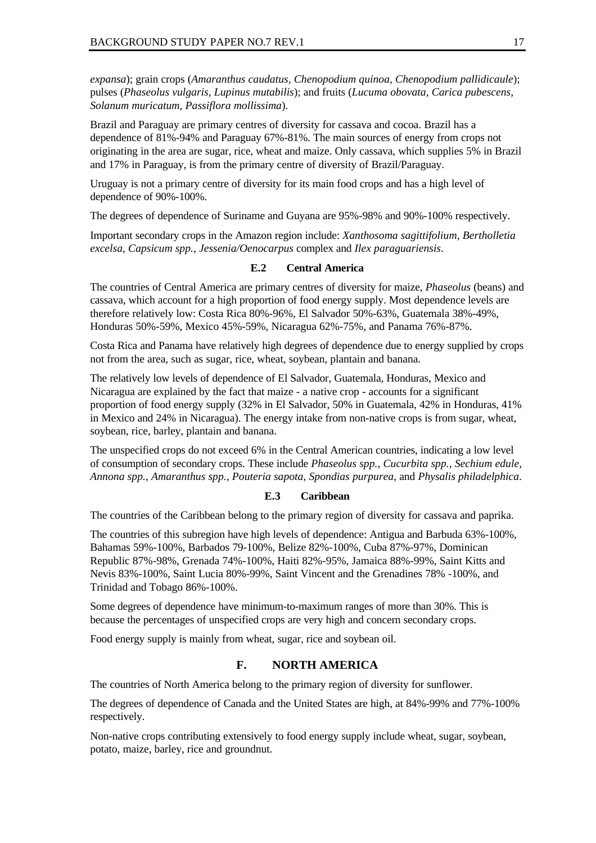*expansa*); grain crops (*Amaranthus caudatus, Chenopodium quinoa, Chenopodium pallidicaule*); pulses (*Phaseolus vulgaris, Lupinus mutabilis*); and fruits (*Lucuma obovata, Carica pubescens, Solanum muricatum, Passiflora mollissima*).

Brazil and Paraguay are primary centres of diversity for cassava and cocoa. Brazil has a dependence of 81%-94% and Paraguay 67%-81%. The main sources of energy from crops not originating in the area are sugar, rice, wheat and maize. Only cassava, which supplies 5% in Brazil and 17% in Paraguay, is from the primary centre of diversity of Brazil/Paraguay.

Uruguay is not a primary centre of diversity for its main food crops and has a high level of dependence of 90%-100%.

The degrees of dependence of Suriname and Guyana are 95%-98% and 90%-100% respectively.

Important secondary crops in the Amazon region include: *Xanthosoma sagittifolium, Bertholletia excelsa, Capsicum spp., Jessenia/Oenocarpus* complex and *Ilex paraguariensis*.

#### **E.2 Central America**

The countries of Central America are primary centres of diversity for maize, *Phaseolus* (beans) and cassava, which account for a high proportion of food energy supply. Most dependence levels are therefore relatively low: Costa Rica 80%-96%, El Salvador 50%-63%, Guatemala 38%-49%, Honduras 50%-59%, Mexico 45%-59%, Nicaragua 62%-75%, and Panama 76%-87%.

Costa Rica and Panama have relatively high degrees of dependence due to energy supplied by crops not from the area, such as sugar, rice, wheat, soybean, plantain and banana.

The relatively low levels of dependence of El Salvador, Guatemala, Honduras, Mexico and Nicaragua are explained by the fact that maize - a native crop - accounts for a significant proportion of food energy supply (32% in El Salvador, 50% in Guatemala, 42% in Honduras, 41% in Mexico and 24% in Nicaragua). The energy intake from non-native crops is from sugar, wheat, soybean, rice, barley, plantain and banana.

The unspecified crops do not exceed 6% in the Central American countries, indicating a low level of consumption of secondary crops. These include *Phaseolus spp., Cucurbita spp., Sechium edule, Annona spp., Amaranthus spp., Pouteria sapota, Spondias purpurea*, and *Physalis philadelphica*.

#### **E.3 Caribbean**

The countries of the Caribbean belong to the primary region of diversity for cassava and paprika.

The countries of this subregion have high levels of dependence: Antigua and Barbuda 63%-100%, Bahamas 59%-100%, Barbados 79-100%, Belize 82%-100%, Cuba 87%-97%, Dominican Republic 87%-98%, Grenada 74%-100%, Haiti 82%-95%, Jamaica 88%-99%, Saint Kitts and Nevis 83%-100%, Saint Lucia 80%-99%, Saint Vincent and the Grenadines 78% -100%, and Trinidad and Tobago 86%-100%.

Some degrees of dependence have minimum-to-maximum ranges of more than 30%. This is because the percentages of unspecified crops are very high and concern secondary crops.

Food energy supply is mainly from wheat, sugar, rice and soybean oil.

#### **F. NORTH AMERICA**

The countries of North America belong to the primary region of diversity for sunflower.

The degrees of dependence of Canada and the United States are high, at 84%-99% and 77%-100% respectively.

Non-native crops contributing extensively to food energy supply include wheat, sugar, soybean, potato, maize, barley, rice and groundnut.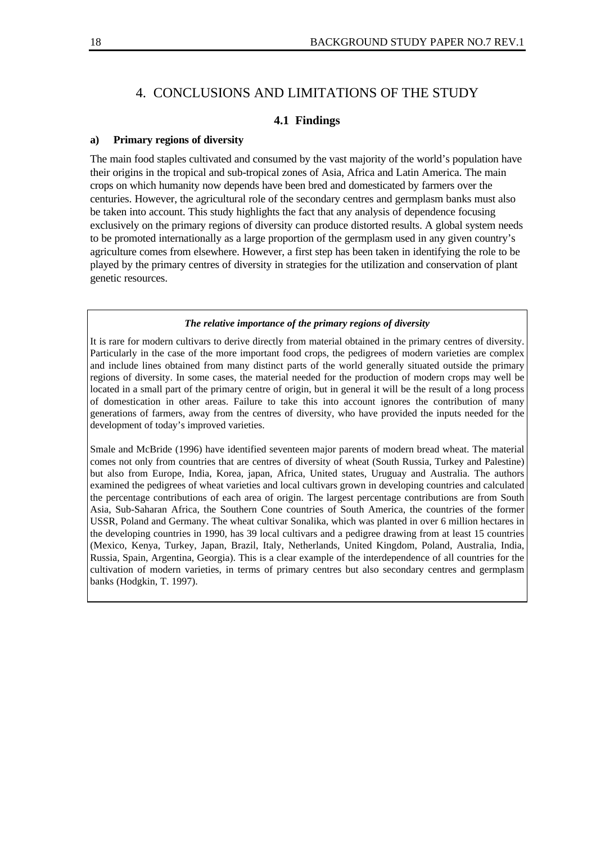## 4. CONCLUSIONS AND LIMITATIONS OF THE STUDY

### **4.1 Findings**

#### **a) Primary regions of diversity**

The main food staples cultivated and consumed by the vast majority of the world's population have their origins in the tropical and sub-tropical zones of Asia, Africa and Latin America. The main crops on which humanity now depends have been bred and domesticated by farmers over the centuries. However, the agricultural role of the secondary centres and germplasm banks must also be taken into account. This study highlights the fact that any analysis of dependence focusing exclusively on the primary regions of diversity can produce distorted results. A global system needs to be promoted internationally as a large proportion of the germplasm used in any given country's agriculture comes from elsewhere. However, a first step has been taken in identifying the role to be played by the primary centres of diversity in strategies for the utilization and conservation of plant genetic resources.

#### *The relative importance of the primary regions of diversity*

It is rare for modern cultivars to derive directly from material obtained in the primary centres of diversity. Particularly in the case of the more important food crops, the pedigrees of modern varieties are complex and include lines obtained from many distinct parts of the world generally situated outside the primary regions of diversity. In some cases, the material needed for the production of modern crops may well be located in a small part of the primary centre of origin, but in general it will be the result of a long process of domestication in other areas. Failure to take this into account ignores the contribution of many generations of farmers, away from the centres of diversity, who have provided the inputs needed for the development of today's improved varieties.

Smale and McBride (1996) have identified seventeen major parents of modern bread wheat. The material comes not only from countries that are centres of diversity of wheat (South Russia, Turkey and Palestine) but also from Europe, India, Korea, japan, Africa, United states, Uruguay and Australia. The authors examined the pedigrees of wheat varieties and local cultivars grown in developing countries and calculated the percentage contributions of each area of origin. The largest percentage contributions are from South Asia, Sub-Saharan Africa, the Southern Cone countries of South America, the countries of the former USSR, Poland and Germany. The wheat cultivar Sonalika, which was planted in over 6 million hectares in the developing countries in 1990, has 39 local cultivars and a pedigree drawing from at least 15 countries (Mexico, Kenya, Turkey, Japan, Brazil, Italy, Netherlands, United Kingdom, Poland, Australia, India, Russia, Spain, Argentina, Georgia). This is a clear example of the interdependence of all countries for the cultivation of modern varieties, in terms of primary centres but also secondary centres and germplasm banks (Hodgkin, T. 1997).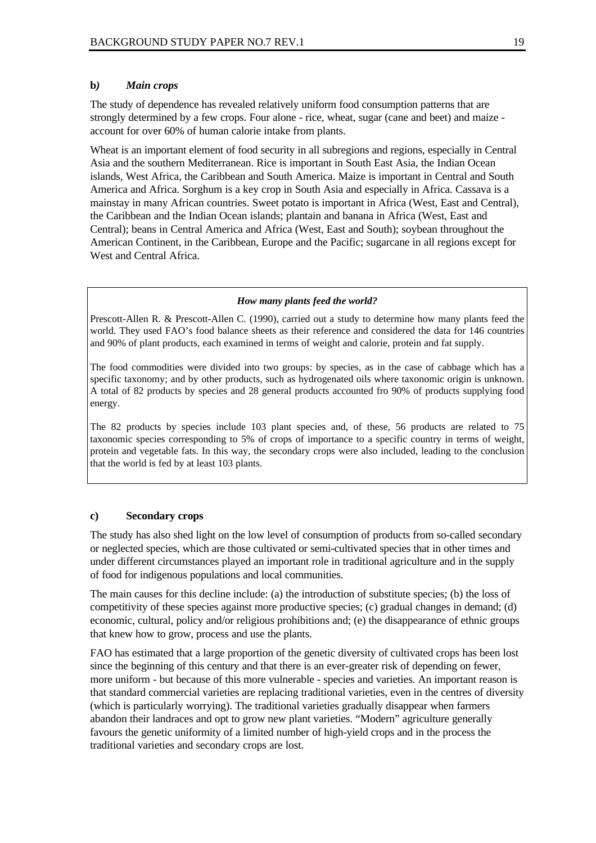#### **b***) Main crops*

The study of dependence has revealed relatively uniform food consumption patterns that are strongly determined by a few crops. Four alone - rice, wheat, sugar (cane and beet) and maize account for over 60% of human calorie intake from plants.

Wheat is an important element of food security in all subregions and regions, especially in Central Asia and the southern Mediterranean. Rice is important in South East Asia, the Indian Ocean islands, West Africa, the Caribbean and South America. Maize is important in Central and South America and Africa. Sorghum is a key crop in South Asia and especially in Africa. Cassava is a mainstay in many African countries. Sweet potato is important in Africa (West, East and Central), the Caribbean and the Indian Ocean islands; plantain and banana in Africa (West, East and Central); beans in Central America and Africa (West, East and South); soybean throughout the American Continent, in the Caribbean, Europe and the Pacific; sugarcane in all regions except for West and Central Africa.

#### *How many plants feed the world?*

Prescott-Allen R. & Prescott-Allen C. (1990), carried out a study to determine how many plants feed the world. They used FAO's food balance sheets as their reference and considered the data for 146 countries and 90% of plant products, each examined in terms of weight and calorie, protein and fat supply.

The food commodities were divided into two groups: by species, as in the case of cabbage which has a specific taxonomy; and by other products, such as hydrogenated oils where taxonomic origin is unknown. A total of 82 products by species and 28 general products accounted fro 90% of products supplying food energy.

The 82 products by species include 103 plant species and, of these, 56 products are related to 75 taxonomic species corresponding to 5% of crops of importance to a specific country in terms of weight, protein and vegetable fats. In this way, the secondary crops were also included, leading to the conclusion that the world is fed by at least 103 plants.

#### **c) Secondary crops**

The study has also shed light on the low level of consumption of products from so-called secondary or neglected species, which are those cultivated or semi-cultivated species that in other times and under different circumstances played an important role in traditional agriculture and in the supply of food for indigenous populations and local communities.

The main causes for this decline include: (a) the introduction of substitute species; (b) the loss of competitivity of these species against more productive species; (c) gradual changes in demand; (d) economic, cultural, policy and/or religious prohibitions and; (e) the disappearance of ethnic groups that knew how to grow, process and use the plants.

FAO has estimated that a large proportion of the genetic diversity of cultivated crops has been lost since the beginning of this century and that there is an ever-greater risk of depending on fewer, more uniform - but because of this more vulnerable - species and varieties. An important reason is that standard commercial varieties are replacing traditional varieties, even in the centres of diversity (which is particularly worrying). The traditional varieties gradually disappear when farmers abandon their landraces and opt to grow new plant varieties. "Modern" agriculture generally favours the genetic uniformity of a limited number of high-yield crops and in the process the traditional varieties and secondary crops are lost.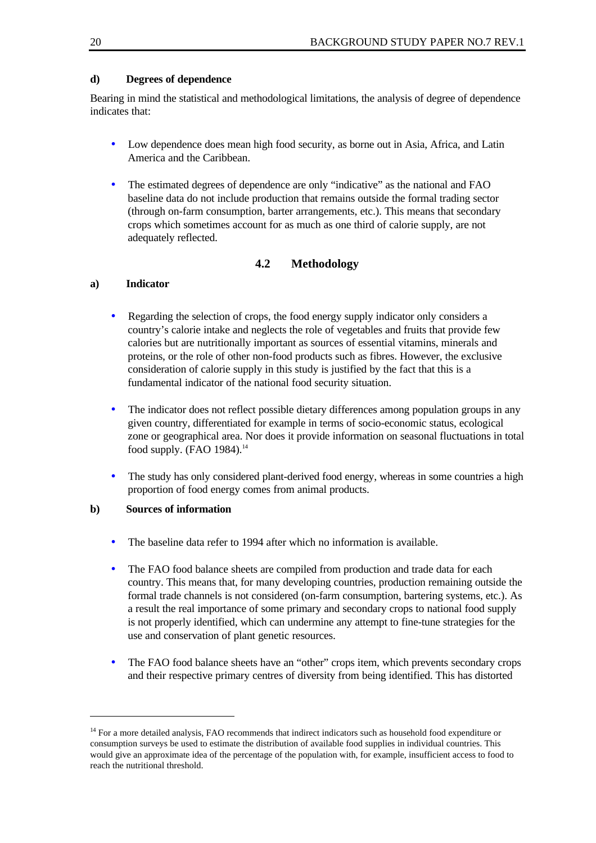## **d) Degrees of dependence**

Bearing in mind the statistical and methodological limitations, the analysis of degree of dependence indicates that:

- Low dependence does mean high food security, as borne out in Asia, Africa, and Latin America and the Caribbean.
- The estimated degrees of dependence are only "indicative" as the national and FAO baseline data do not include production that remains outside the formal trading sector (through on-farm consumption, barter arrangements, etc.). This means that secondary crops which sometimes account for as much as one third of calorie supply, are not adequately reflected.

## **4.2 Methodology**

### **a) Indicator**

- Regarding the selection of crops, the food energy supply indicator only considers a country's calorie intake and neglects the role of vegetables and fruits that provide few calories but are nutritionally important as sources of essential vitamins, minerals and proteins, or the role of other non-food products such as fibres. However, the exclusive consideration of calorie supply in this study is justified by the fact that this is a fundamental indicator of the national food security situation.
- The indicator does not reflect possible dietary differences among population groups in any given country, differentiated for example in terms of socio-economic status, ecological zone or geographical area. Nor does it provide information on seasonal fluctuations in total food supply. (FAO 1984).<sup>14</sup>
- The study has only considered plant-derived food energy, whereas in some countries a high proportion of food energy comes from animal products.

### **b) Sources of information**

- The baseline data refer to 1994 after which no information is available.
- The FAO food balance sheets are compiled from production and trade data for each country. This means that, for many developing countries, production remaining outside the formal trade channels is not considered (on-farm consumption, bartering systems, etc.). As a result the real importance of some primary and secondary crops to national food supply is not properly identified, which can undermine any attempt to fine-tune strategies for the use and conservation of plant genetic resources.
- The FAO food balance sheets have an "other" crops item, which prevents secondary crops and their respective primary centres of diversity from being identified. This has distorted

<sup>&</sup>lt;sup>14</sup> For a more detailed analysis, FAO recommends that indirect indicators such as household food expenditure or consumption surveys be used to estimate the distribution of available food supplies in individual countries. This would give an approximate idea of the percentage of the population with, for example, insufficient access to food to reach the nutritional threshold.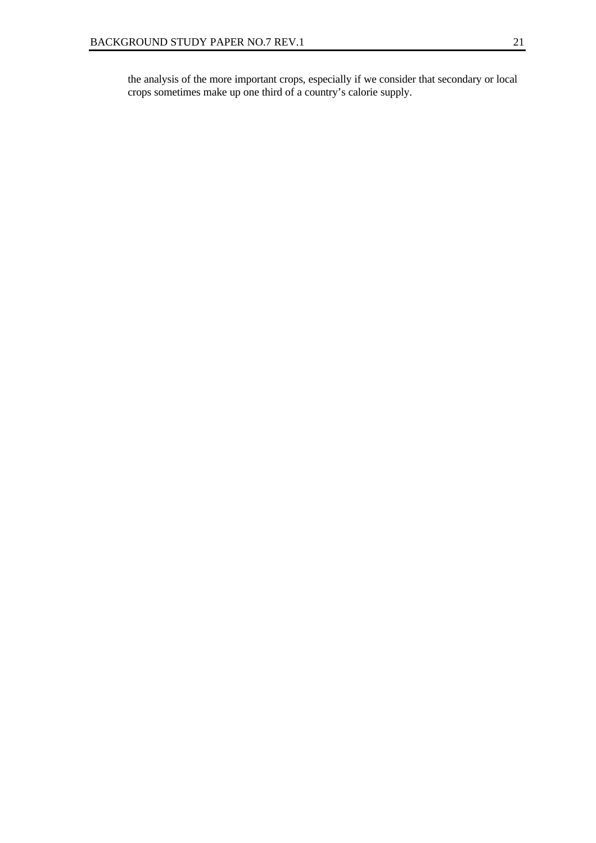the analysis of the more important crops, especially if we consider that secondary or local crops sometimes make up one third of a country's calorie supply.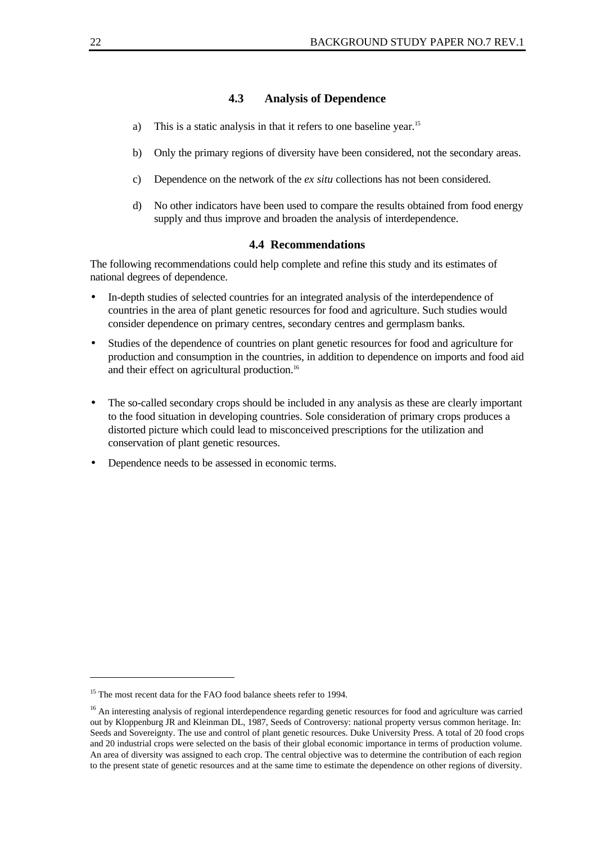#### **4.3 Analysis of Dependence**

- a) This is a static analysis in that it refers to one baseline year.<sup>15</sup>
- b) Only the primary regions of diversity have been considered, not the secondary areas.
- c) Dependence on the network of the *ex situ* collections has not been considered.
- d) No other indicators have been used to compare the results obtained from food energy supply and thus improve and broaden the analysis of interdependence.

#### **4.4 Recommendations**

The following recommendations could help complete and refine this study and its estimates of national degrees of dependence.

- In-depth studies of selected countries for an integrated analysis of the interdependence of countries in the area of plant genetic resources for food and agriculture. Such studies would consider dependence on primary centres, secondary centres and germplasm banks.
- Studies of the dependence of countries on plant genetic resources for food and agriculture for production and consumption in the countries, in addition to dependence on imports and food aid and their effect on agricultural production.<sup>16</sup>
- The so-called secondary crops should be included in any analysis as these are clearly important to the food situation in developing countries. Sole consideration of primary crops produces a distorted picture which could lead to misconceived prescriptions for the utilization and conservation of plant genetic resources.
- Dependence needs to be assessed in economic terms.

<sup>&</sup>lt;sup>15</sup> The most recent data for the FAO food balance sheets refer to 1994.

<sup>&</sup>lt;sup>16</sup> An interesting analysis of regional interdependence regarding genetic resources for food and agriculture was carried out by Kloppenburg JR and Kleinman DL, 1987, Seeds of Controversy: national property versus common heritage. In: Seeds and Sovereignty. The use and control of plant genetic resources. Duke University Press. A total of 20 food crops and 20 industrial crops were selected on the basis of their global economic importance in terms of production volume. An area of diversity was assigned to each crop. The central objective was to determine the contribution of each region to the present state of genetic resources and at the same time to estimate the dependence on other regions of diversity.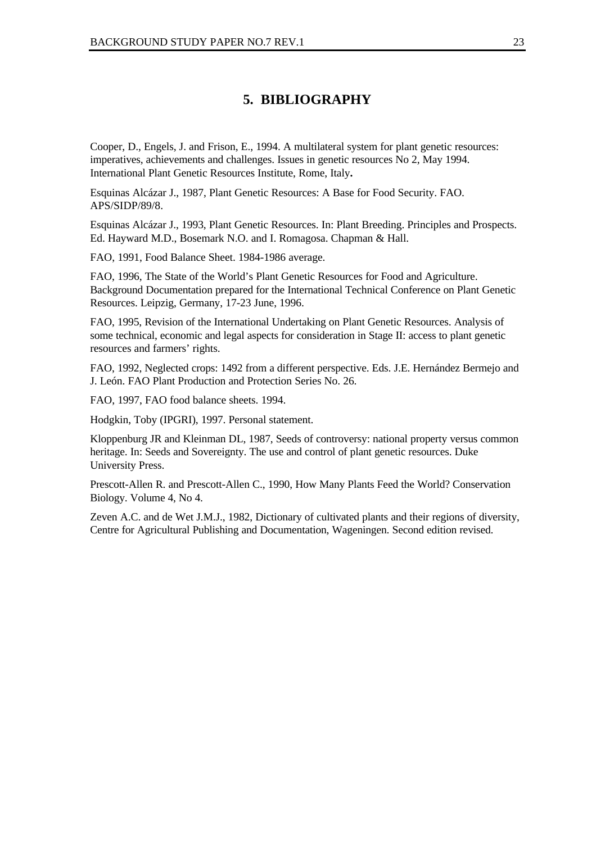## **5. BIBLIOGRAPHY**

Cooper, D., Engels, J. and Frison, E., 1994. A multilateral system for plant genetic resources: imperatives, achievements and challenges. Issues in genetic resources No 2, May 1994. International Plant Genetic Resources Institute, Rome, Italy**.**

Esquinas Alcázar J., 1987, Plant Genetic Resources: A Base for Food Security. FAO. APS/SIDP/89/8.

Esquinas Alcázar J., 1993, Plant Genetic Resources. In: Plant Breeding. Principles and Prospects. Ed. Hayward M.D., Bosemark N.O. and I. Romagosa. Chapman & Hall.

FAO, 1991, Food Balance Sheet. 1984-1986 average.

FAO, 1996, The State of the World's Plant Genetic Resources for Food and Agriculture. Background Documentation prepared for the International Technical Conference on Plant Genetic Resources. Leipzig, Germany, 17-23 June, 1996.

FAO, 1995, Revision of the International Undertaking on Plant Genetic Resources. Analysis of some technical, economic and legal aspects for consideration in Stage II: access to plant genetic resources and farmers' rights.

FAO, 1992, Neglected crops: 1492 from a different perspective. Eds. J.E. Hernández Bermejo and J. León. FAO Plant Production and Protection Series No. 26.

FAO, 1997, FAO food balance sheets. 1994.

Hodgkin, Toby (IPGRI), 1997. Personal statement.

Kloppenburg JR and Kleinman DL, 1987, Seeds of controversy: national property versus common heritage. In: Seeds and Sovereignty. The use and control of plant genetic resources. Duke University Press.

Prescott-Allen R. and Prescott-Allen C., 1990, How Many Plants Feed the World? Conservation Biology. Volume 4, No 4.

Zeven A.C. and de Wet J.M.J., 1982, Dictionary of cultivated plants and their regions of diversity, Centre for Agricultural Publishing and Documentation, Wageningen. Second edition revised.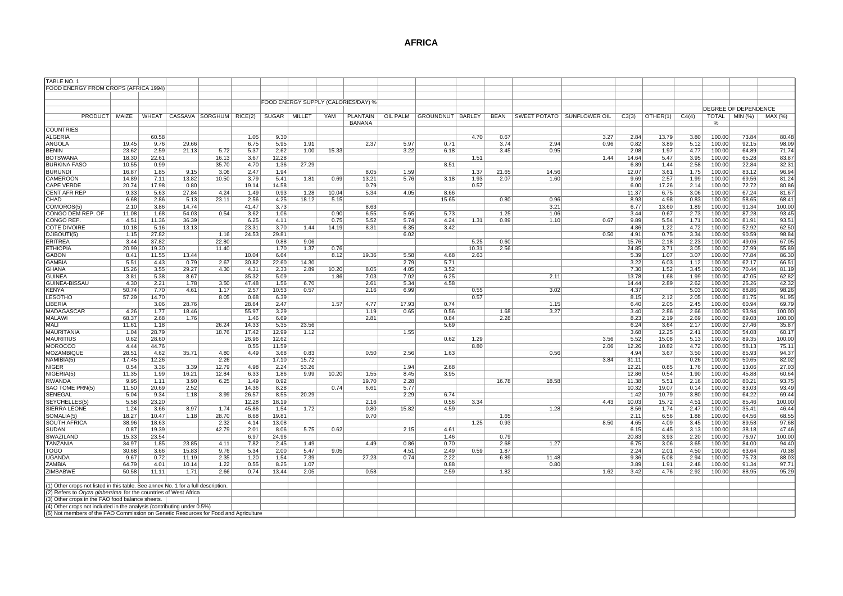#### **AFRICA**

| TABLE NO.                                                                                                                                                    |              |               |                |                         |                |               |               |               |                                     |               |                             |       |             |                              |      |               |               |              |                  |                             |                 |
|--------------------------------------------------------------------------------------------------------------------------------------------------------------|--------------|---------------|----------------|-------------------------|----------------|---------------|---------------|---------------|-------------------------------------|---------------|-----------------------------|-------|-------------|------------------------------|------|---------------|---------------|--------------|------------------|-----------------------------|-----------------|
| FOOD ENERGY FROM CROPS (AFRICA 1994)                                                                                                                         |              |               |                |                         |                |               |               |               |                                     |               |                             |       |             |                              |      |               |               |              |                  |                             |                 |
|                                                                                                                                                              |              |               |                |                         |                |               |               |               |                                     |               |                             |       |             |                              |      |               |               |              |                  |                             |                 |
|                                                                                                                                                              |              |               |                |                         |                |               |               |               | FOOD ENERGY SUPPLY (CALORIES/DAY) % |               |                             |       |             |                              |      |               |               |              |                  | <b>DEGREE OF DEPENDENCE</b> |                 |
| PRODUCT                                                                                                                                                      | MAIZE        | WHEAT         |                | CASSAVA SORGHUM RICE(2) |                | SUGAR         | MILLET        | YAM           | <b>PLANTAIN</b>                     |               | OIL PALM GROUNDNUT   BARLEY |       | <b>BEAN</b> | SWEET POTATO   SUNFLOWER OIL |      | C3(3)         | OTHER(1)      | C4(4)        |                  | $TOTAL$ $MIN$ $%$           | MAX (%)         |
|                                                                                                                                                              |              |               |                |                         |                |               |               |               | <b>BANANA</b>                       |               |                             |       |             |                              |      |               |               |              | %                |                             |                 |
| <b>COUNTRIES</b>                                                                                                                                             |              |               |                |                         |                |               |               |               |                                     |               |                             |       |             |                              |      |               |               |              |                  |                             |                 |
| <b>ALGERIA</b>                                                                                                                                               |              | 60.58         |                |                         | 1.05           | 9.30          |               |               |                                     |               |                             | 4.70  | 0.67        |                              | 3.27 | 2.84          | 13.79         | 3.80         | 100.00           | 73.84                       | 80.48           |
| ANGOLA                                                                                                                                                       | 19.45        | 9.76          | 29.66          |                         | 6.75           | 5.95          | 1.91          |               | 2.37                                | 5.97          | 0.71                        |       | 3.74        | 2.94                         | 0.96 | 0.82          | 3.89          | 5.12         | 100.00           | 92.15                       | 98.09           |
| <b>BENIN</b>                                                                                                                                                 | 23.62        | 2.59          | 21.13          | 5.72                    | 5.37           | 2.62          | 1.00          | 15.33         |                                     | 3.22          | 6.18                        |       | 3.45        | 0.95                         |      | 2.08          | 1.97          | 4.77         | 100.00           | 64.89                       | 71.74           |
| <b>BOTSWANA</b>                                                                                                                                              | 18.30        | 22.61         |                | 16.13                   | 3.67           | 12.28         |               |               |                                     |               |                             | 1.51  |             |                              | 1.44 | 14.64         | 5.47          | 3.95         | 100.00           | 65.28                       | 83.87           |
| <b>BURKINA FASO</b>                                                                                                                                          | 10.55        | 0.99          |                | 35.70                   | 4.70           | 1.36          | 27.29         |               |                                     |               | 8.51                        |       |             |                              |      | 6.89          | 1.44          | 2.58         | 100.00           | 22.84                       | 32.3'           |
| <b>BURUNDI</b>                                                                                                                                               | 16.87        | 1.85          | 9.15           | 3.06                    | 2.47           | 1.94          |               |               | 8.05                                | 1.59          |                             | 1.37  | 21.65       | 14.56                        |      | 12.07         | 3.61          | 1.75         | 100.00           | 83.12                       | 96.94           |
| CAMEROON                                                                                                                                                     | 14.89        | 7.11          | 13.82          | 10.50                   | 3.79           | 5.41          | 1.81          | 0.69          | 13.21                               | 5.76          | 3.18                        | 1.93  | 2.07        | 1.60                         |      | 9.69          | 2.57          | 1.99         | 100.00           | 69.56                       | 81.24           |
| <b>CAPE VERDE</b>                                                                                                                                            | 20.74        | 17.98         | 0.80           |                         | 19.14          | 14.58         |               |               | 0.79                                |               |                             | 0.57  |             |                              |      | 6.00          | 17.26         | 2.14         | 100.00           | 72.72                       | 80.86           |
| <b>CENT AFR REP</b><br>CHAD                                                                                                                                  | 9.33<br>6.68 | 5.63<br>2.86  | 27.84<br>5.13  | 4.24<br>23.11           | 1.49<br>2.56   | 0.93<br>4.25  | 1.28<br>18.12 | 10.04<br>5.15 | 5.34                                | 4.05          | 8.66<br>15.65               |       | 0.80        | 0.96                         |      | 11.37<br>8.93 | 6.75          | 3.06<br>0.83 | 100.00<br>100.00 | 67.24<br>58.65              | 81.67           |
| COMOROS(5)                                                                                                                                                   | 2.10         | 3.86          | 14.74          |                         | 41.47          | 3.73          |               |               | 8.63                                |               |                             |       |             | 3.21                         |      | 6.77          | 4.98<br>13.60 | 1.89         | 100.00           | 91.34                       | 68.4'<br>100.00 |
| CONGO DEM REP. OF                                                                                                                                            | 11.08        | 1.68          | 54.03          | 0.54                    | 3.62           | 1.06          |               | 0.90          | 6.55                                | 5.65          | 5.73                        |       | 1.25        | 1.06                         |      | 3.44          | 0.67          | 2.73         | 100.00           | 87.28                       | 93.45           |
| CONGO REP.                                                                                                                                                   | 4.51         | 11.36         | 36.39          |                         | 6.25           | 4.11          |               | 0.75          | 5.52                                | 5.74          | 4.24                        | 1.31  | 0.89        | 1.10                         | 0.67 | 9.89          | 5.54          | 1.71         | 100.00           | 81.91                       | 93.51           |
| <b>COTE DIVOIRE</b>                                                                                                                                          | 10.18        | 5.16          | 13.13          |                         | 23.31          | 3.70          | 1.44          | 14.19         | 8.31                                | 6.35          | 3.42                        |       |             |                              |      | 4.86          | 1.22          | 4.72         | 100.00           | 52.92                       | 62.50           |
| DJIBOUTI(5)                                                                                                                                                  | 1.15         | 27.82         |                | 1.16                    | 24.53          | 29.81         |               |               |                                     | 6.02          |                             |       |             |                              | 0.50 | 4.91          | 0.75          | 3.34         | 100.00           | 90.59                       | 98.84           |
| <b>ERITREA</b>                                                                                                                                               | 3.44         | 37.82         |                | 22.80                   |                | 0.88          | 9.06          |               |                                     |               |                             | 5.25  | 0.60        |                              |      | 15.76         | 2.18          | 2.23         | 100.00           | 49.06                       | 67.05           |
| <b>ETHIOPIA</b>                                                                                                                                              | 20.99        | 19.30         |                | 11.40                   |                | 1.70          | 1.37          | 0.76          |                                     |               |                             | 10.31 | 2.56        |                              |      | 24.85         | 3.71          | 3.05         | 100.00           | 27.99                       | 55.89           |
| GABON                                                                                                                                                        | 8.41         | 11.55         | 13.44          |                         | 10.04          | 6.64          |               | 8.12          | 19.36                               | 5.58          | 4.68                        | 2.63  |             |                              |      | 5.39          | 1.07          | 3.07         | 100.00           | 77.84                       | 86.30           |
| GAMBIA                                                                                                                                                       | 5.51         | 4.43          | 0.79           | 2.67                    | 30.82          | 22.60         | 14.30         |               |                                     | 2.79          | 5.71                        |       |             |                              |      | 3.22          | 6.03          | 1.12         | 100.00           | 62.17                       | 66.51           |
| GHANA                                                                                                                                                        | 15.26        | 3.55          | 29.27          | 4.30                    | 4.31           | 2.33          | 2.89          | 10.20         | 8.05                                | 4.05          | 3.52                        |       |             |                              |      | 7.30          | 1.52          | 3.45         | 100.00           | 70.44                       | 81.19           |
| <b>GUINEA</b>                                                                                                                                                | 3.81         | 5.38          | 8.67           |                         | 35.32          | 5.09          |               | 1.86          | 7.03                                | 7.02          | 6.25                        |       |             | 2.11                         |      | 13.78         | 1.68          | 1.99         | 100.00           | 47.05                       | 62.82           |
| GUINEA-BISSAU                                                                                                                                                | 4.30         | 2.21          | 1.78           | 3.50                    | 47.48          | 1.56          | 6.70          |               | 2.61                                | 5.34          | 4.58                        |       |             |                              |      | 14.44         | 2.89          | 2.62         | 100.00           | 25.26                       | 42.32           |
| <b>KENYA</b>                                                                                                                                                 | 50.74        | 7.70          | 4.61           | 1.17                    | 2.57           | 10.53         | 0.57          |               | 2.16                                | 6.99          |                             | 0.55  |             | 3.02                         |      | 4.37          |               | 5.03         | 100.00           | 88.86                       | 98.26           |
| <b>LESOTHO</b>                                                                                                                                               | 57.29        | 14.70         |                | 8.05                    | 0.68           | 6.39          |               |               |                                     |               |                             | 0.57  |             |                              |      | 8.15          | 2.12          | 2.05         | 100.00           | 81.75                       | 91.95           |
| LIBERIA<br>MADAGASCAR                                                                                                                                        | 4.26         | 3.06<br>1.77  | 28.76<br>18.46 |                         | 28.64<br>55.97 | 2.47<br>3.29  |               | 1.57          | 4.77<br>1.19                        | 17.93<br>0.65 | 0.74<br>0.56                |       | 1.68        | 1.15<br>3.27                 |      | 6.40<br>3.40  | 2.05<br>2.86  | 2.45<br>2.66 | 100.00<br>100.00 | 60.94<br>93.94              | 69.79<br>100.00 |
| <b>MALAWI</b>                                                                                                                                                | 68.37        | 2.68          | 1.76           |                         | 1.46           | 6.69          |               |               | 2.81                                |               | 0.84                        |       | 2.28        |                              |      | 8.23          | 2.19          | 2.69         | 100.00           | 89.08                       | 100.00          |
| MALI                                                                                                                                                         | 11.61        | 1.18          |                | 26.24                   | 14.33          | 5.35          | 23.56         |               |                                     |               | 5.69                        |       |             |                              |      | 6.24          | 3.64          | 2.17         | 100.00           | 27.46                       | 35.87           |
| <b>MAURITANIA</b>                                                                                                                                            | 1.04         | 28.79         |                | 18.76                   | 17.42          | 12.99         | 1.12          |               |                                     | 1.55          |                             |       |             |                              |      | 3.68          | 12.25         | 2.41         | 100.00           | 54.08                       | 60.17           |
| <b>MAURITIUS</b>                                                                                                                                             | 0.62         | 28.60         |                |                         | 26.96          | 12.62         |               |               |                                     |               | 0.62                        | 1.29  |             |                              | 3.56 | 5.52          | 15.08         | 5.13         | 100.00           | 89.35                       | 100.00          |
| <b>MOROCCO</b>                                                                                                                                               | 4.44         | 44.76         |                |                         | 0.55           | 11.59         |               |               |                                     |               |                             | 8.80  |             |                              | 2.06 | 12.26         | 10.82         | 4.72         | 100.00           | 58.13                       | 75.1'           |
| <b>MOZAMBIQUE</b>                                                                                                                                            | 28.51        | 4.62          | 35.71          | 4.80                    | 4.49           | 3.68          | 0.83          |               | 0.50                                | 2.56          | 1.63                        |       |             | 0.56                         |      | 4.94          | 3.67          | 3.50         | 100.00           | 85.93                       | 94.37           |
| NAMIBIA(5)                                                                                                                                                   | 17.45        | 12.26         |                | 2.26                    |                | 17.10         | 15.72         |               |                                     |               |                             |       |             |                              | 3.84 | 31.11         |               | 0.26         | 100.00           | 50.65                       | 82.02           |
| <b>NIGER</b>                                                                                                                                                 | 0.54         | 3.36          | 3.39           | 12.79                   | 4.98           | 2.24          | 53.26         |               |                                     | 1.94          | 2.68                        |       |             |                              |      | 12.21         | 0.85          | 1.76         | 100.00           | 13.06                       | 27.03           |
| NIGERIA(5                                                                                                                                                    | 11.35        | 1.99          | 16.21          | 12.84                   | 6.33           | 1.86          | 9.99          | 10.20         | 1.55                                | 8.45          | 3.95                        |       |             |                              |      | 12.86         | 0.54          | 1.90         | 100.00           | 45.88                       | 60.64           |
| <b>RWANDA</b>                                                                                                                                                | 9.95         | 1.11          | 3.90           | 6.25                    | 1.49           | 0.92          |               |               | 19.70                               | 2.28          |                             |       | 16.78       | 18.58                        |      | 11.38         | 5.51          | 2.16         | 100.00           | 80.21                       | 93.75           |
| SAO TOME PRN(5)                                                                                                                                              | 11.50        | 20.69         | 2.52           |                         | 14.36          | 8.28          |               | 0.74          | 6.61                                | 5.77          |                             |       |             |                              |      | 10.32         | 19.07         | 0.14         | 100.00           | 83.03                       | 93.49           |
| SENEGAL                                                                                                                                                      | 5.04         | 9.34          | 1.18           | 3.99                    | 26.57          | 8.55          | 20.29         |               |                                     | 2.29          | 6.74                        |       |             |                              |      | 1.42          | 10.79         | 3.80         | 100.00           | 64.22                       | 69.44           |
| SEYCHELLES(5)<br>SIERRA LEONE                                                                                                                                | 5.58<br>1.24 | 23.20<br>3.66 | 8.97           | 1.74                    | 12.28<br>45.86 | 18.19<br>1.54 | 1.72          |               | 2.16<br>0.80                        | 15.82         | 0.56<br>4.59                | 3.34  |             | 1.28                         | 4.43 | 10.03<br>8.56 | 15.72<br>1.74 | 4.51<br>2.47 | 100.00<br>100.00 | 85.46<br>35.41              | 100.00<br>46.44 |
| SOMALIA(5)                                                                                                                                                   | 18.27        | 10.47         | 1.18           | 28.70                   | 8.68           | 19.81         |               |               | 0.70                                |               |                             |       | 1.65        |                              |      | 2.11          | 6.56          | 1.88         | 100.00           | 64.56                       | 68.55           |
| <b>SOUTH AFRICA</b>                                                                                                                                          | 38.96        | 18.63         |                | 2.32                    | 4.14           | 13.08         |               |               |                                     |               |                             | 1.25  | 0.93        |                              | 8.50 | 4.65          | 4.09          | 3.45         | 100.00           | 89.58                       | 97.68           |
| <b>SUDAN</b>                                                                                                                                                 | 0.87         | 19.39         |                | 42.79                   | 2.01           | 8.06          | 5.75          | 0.62          |                                     | 2.15          | 4.61                        |       |             |                              |      | 6.15          | 4.45          | 3.13         | 100.00           | 38.18                       | 47.46           |
| SWAZILAND                                                                                                                                                    | 15.33        | 23.54         |                |                         | 6.97           | 24.96         |               |               |                                     |               | 1.46                        |       | 0.79        |                              |      | 20.83         | 3.93          | 2.20         | 100.00           | 76.97                       | 100.00          |
| <b>TANZANIA</b>                                                                                                                                              | 34.97        | 1.85          | 23.85          | 4.11                    | 7.82           | 2.45          | 1.49          |               | 4.49                                | 0.86          | 0.70                        |       | 2.68        | 1.27                         |      | 6.75          | 3.06          | 3.65         | 100.00           | 84.00                       | 94.40           |
| TOGO                                                                                                                                                         | 30.68        | 3.66          | 15.83          | 9.76                    | 5.34           | 2.00          | 5.47          | 9.05          |                                     | 4.51          | 2.49                        | 0.59  | 1.87        |                              |      | 2.24          | 2.01          | 4.50         | 100.00           | 63.64                       | 70.38           |
| UGANDA                                                                                                                                                       | 9.67         | 0.72          | 11.19          | 2.35                    | 1.20           | 1.54          | 7.39          |               | 27.23                               | 0.74          | 2.22                        |       | 6.89        | 11.48                        |      | 9.36          | 5.08          | 2.94         | 100.00           | 75.73                       | 88.03           |
| ZAMBIA                                                                                                                                                       | 64.79        | 4.01          | 10.14          | 1.22                    | 0.55           | 8.25          | 1.07          |               |                                     |               | 0.88                        |       |             | 0.80                         |      | 3.89          | 1.91          | 2.48         | 100.00           | 91.34                       | 97.7'           |
| ZIMBABWE                                                                                                                                                     | 50.58        | 11.11         | 1.71           | 2.66                    | 0.74           | 13.44         | 2.05          |               | 0.58                                |               | 2.59                        |       | 1.82        |                              | 1.62 | 3.42          | 4.76          | 2.92         | 100.00           | 88.95                       | 95.29           |
|                                                                                                                                                              |              |               |                |                         |                |               |               |               |                                     |               |                             |       |             |                              |      |               |               |              |                  |                             |                 |
| (1) Other crops not listed in this table. See annex No. 1 for a full description.                                                                            |              |               |                |                         |                |               |               |               |                                     |               |                             |       |             |                              |      |               |               |              |                  |                             |                 |
| (2) Refers to Oryza glaberrima for the countries of West Africa                                                                                              |              |               |                |                         |                |               |               |               |                                     |               |                             |       |             |                              |      |               |               |              |                  |                             |                 |
| (3) Other crops in the FAO food balance sheets                                                                                                               |              |               |                |                         |                |               |               |               |                                     |               |                             |       |             |                              |      |               |               |              |                  |                             |                 |
| (4) Other crops not included in the analysis (contributing under 0.5%<br>(5) Not members of the FAO Commission on Genetic Resources for Food and Agriculture |              |               |                |                         |                |               |               |               |                                     |               |                             |       |             |                              |      |               |               |              |                  |                             |                 |
|                                                                                                                                                              |              |               |                |                         |                |               |               |               |                                     |               |                             |       |             |                              |      |               |               |              |                  |                             |                 |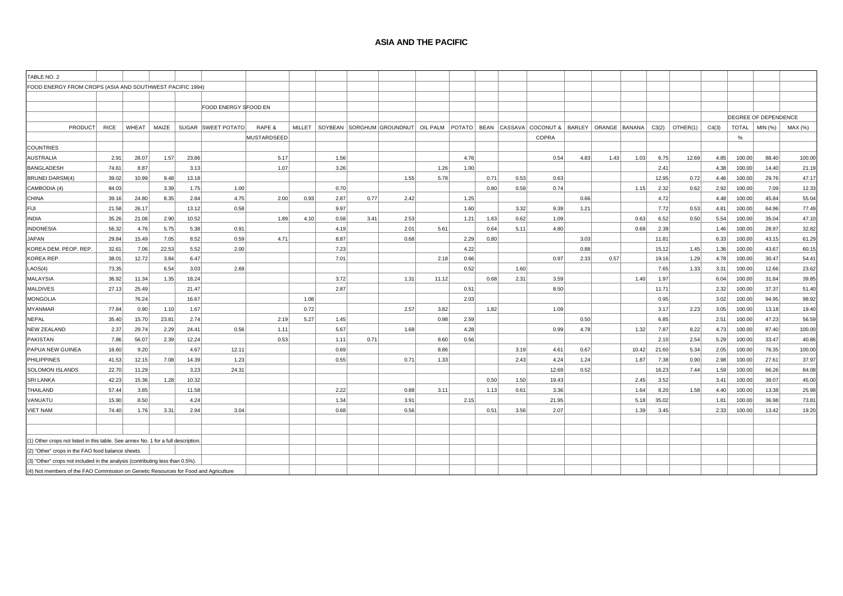#### **ASIA AND THE PACIFIC**

| TABLE NO. 2                                                                         |             |       |       |       |                      |                    |        |      |      |                                    |       |      |      |      |                                                    |      |      |       |       |          |       |              |                      |         |
|-------------------------------------------------------------------------------------|-------------|-------|-------|-------|----------------------|--------------------|--------|------|------|------------------------------------|-------|------|------|------|----------------------------------------------------|------|------|-------|-------|----------|-------|--------------|----------------------|---------|
| FOOD ENERGY FROM CROPS (ASIA AND SOUTHWEST PACIFIC 1994)                            |             |       |       |       |                      |                    |        |      |      |                                    |       |      |      |      |                                                    |      |      |       |       |          |       |              |                      |         |
|                                                                                     |             |       |       |       |                      |                    |        |      |      |                                    |       |      |      |      |                                                    |      |      |       |       |          |       |              |                      |         |
|                                                                                     |             |       |       |       | FOOD ENERGY SFOOD EN |                    |        |      |      |                                    |       |      |      |      |                                                    |      |      |       |       |          |       |              |                      |         |
|                                                                                     |             |       |       |       |                      |                    |        |      |      |                                    |       |      |      |      |                                                    |      |      |       |       |          |       |              | DEGREE OF DEPENDENCE |         |
| <b>PRODUCT</b>                                                                      | <b>RICE</b> | WHEAT | MAIZE |       | SUGAR SWEET POTATO   | RAPE &             | MILLET |      |      | SOYBEAN SORGHUM GROUNDNUT OIL PALM |       |      |      |      | POTATO BEAN CASSAVA COCONUT & BARLEY ORANGE BANANA |      |      |       | C3(2) | OTHER(1) | C4(3) | <b>TOTAL</b> | MIN (%)              | MAX (%) |
|                                                                                     |             |       |       |       |                      | <b>MUSTARDSEED</b> |        |      |      |                                    |       |      |      |      | COPRA                                              |      |      |       |       |          |       | %            |                      |         |
| <b>COUNTRIES</b>                                                                    |             |       |       |       |                      |                    |        |      |      |                                    |       |      |      |      |                                                    |      |      |       |       |          |       |              |                      |         |
| <b>AUSTRALIA</b>                                                                    | 2.91        | 28.07 | 1.57  | 23.86 |                      | 5.17               |        | 1.56 |      |                                    |       | 4.76 |      |      | 0.54                                               | 4.83 | 1.43 | 1.03  | 6.75  | 12.69    | 4.85  | 100.00       | 88.40                | 100.00  |
| <b>BANGLADESH</b>                                                                   | 74.61       | 8.87  |       | 3.13  |                      | 1.07               |        | 3.26 |      |                                    | 1.26  | 1.00 |      |      |                                                    |      |      |       | 2.41  |          | 4.38  | 100.00       | 14.40                | 21.19   |
| <b>BRUNEI DARSM(4)</b>                                                              | 39.02       | 10.99 | 9.48  | 13.18 |                      |                    |        |      |      | 1.55                               | 5.78  |      | 0.71 | 0.53 | 0.63                                               |      |      |       | 12.95 | 0.72     | 4.46  | 100.00       | 29.76                | 47.17   |
| CAMBODIA (4)                                                                        | 84.03       |       | 3.39  | 1.75  | 1.00                 |                    |        | 0.70 |      |                                    |       |      | 0.80 | 0.59 | 0.74                                               |      |      | 1.15  | 2.32  | 0.62     | 2.92  | 100.00       | 7.09                 | 12.33   |
| <b>CHINA</b>                                                                        | 39.16       | 24.80 | 8.35  | 2.84  | 4.75                 | 2.00               | 0.93   | 2.87 | 0.77 | 2.42                               |       | 1.25 |      |      |                                                    | 0.66 |      |       | 4.72  |          | 4.48  | 100.00       | 45.84                | 55.04   |
| FIJI                                                                                | 21.58       | 26.17 |       | 13.12 | 0.58                 |                    |        | 9.97 |      |                                    |       | 1.60 |      | 3.32 | 9.39                                               | 1.21 |      |       | 7.72  | 0.53     | 4.81  | 100.00       | 64.96                | 77.49   |
| <b>INDIA</b>                                                                        | 35.26       | 21.08 | 2.90  | 10.52 |                      | 1.89               | 4.10   | 0.58 | 3.41 | 2.53                               |       | 1.21 | 1.63 | 0.62 | 1.09                                               |      |      | 0.63  | 6.52  | 0.50     | 5.54  | 100.00       | 35.04                | 47.10   |
| <b>INDONESIA</b>                                                                    | 56.32       | 4.76  | 5.75  | 5.38  | 0.91                 |                    |        | 4.19 |      | 2.01                               | 5.61  |      | 0.64 | 5.11 | 4.80                                               |      |      | 0.69  | 2.39  |          | 1.46  | 100.00       | 28.97                | 32.82   |
| JAPAN                                                                               | 29.84       | 15.49 | 7.05  | 8.52  | 0.59                 | 4.71               |        | 8.87 |      | 0.68                               |       | 2.29 | 0.80 |      |                                                    | 3.03 |      |       | 11.81 |          | 6.33  | 100.00       | 43.15                | 61.29   |
| KOREA DEM. PEOP. REP                                                                | 32.61       | 7.06  | 22.53 | 5.52  | 2.00                 |                    |        | 7.23 |      |                                    |       | 4.22 |      |      |                                                    | 0.88 |      |       | 15.12 | 1.45     | 1.36  | 100.00       | 43.67                | 60.15   |
| KOREA REP.                                                                          | 38.01       | 12.72 | 3.84  | 6.47  |                      |                    |        | 7.01 |      |                                    | 2.18  | 0.66 |      |      | 0.97                                               | 2.33 | 0.57 |       | 19.16 | 1.29     | 4.78  | 100.00       | 30.47                | 54.4'   |
| LAOS(4)                                                                             | 73.35       |       | 6.54  | 3.03  | 2.69                 |                    |        |      |      |                                    |       | 0.52 |      | 1.60 |                                                    |      |      |       | 7.65  | 1.33     | 3.31  | 100.00       | 12.66                | 23.62   |
| <b>MALAYSIA</b>                                                                     | 36.92       | 11.34 | 1.35  | 18.24 |                      |                    |        | 3.72 |      | 1.31                               | 11.12 |      | 0.68 | 2.31 | 3.59                                               |      |      | 1.40  | 1.97  |          | 6.04  | 100.00       | 31.84                | 39.85   |
| <b>MALDIVES</b>                                                                     | 27.13       | 25.49 |       | 21.47 |                      |                    |        | 2.87 |      |                                    |       | 0.51 |      |      | 8.50                                               |      |      |       | 11.71 |          | 2.32  | 100.00       | 37.37                | 51.40   |
| <b>MONGOLIA</b>                                                                     |             | 76.24 |       | 16.67 |                      |                    | 1.08   |      |      |                                    |       | 2.03 |      |      |                                                    |      |      |       | 0.95  |          | 3.02  | 100.00       | 94.95                | 98.92   |
| <b>MYANMAR</b>                                                                      | 77.84       | 0.90  | 1.10  | 1.67  |                      |                    | 0.72   |      |      | 2.57                               | 3.82  |      | 1.82 |      | 1.09                                               |      |      |       | 3.17  | 2.23     | 3.05  | 100.00       | 13.18                | 19.40   |
| <b>NEPAL</b>                                                                        | 35.40       | 15.70 | 23.81 | 2.74  |                      | 2.19               | 5.27   | 1.45 |      |                                    | 0.98  | 2.59 |      |      |                                                    | 0.50 |      |       | 6.85  |          | 2.51  | 100.00       | 47.23                | 56.59   |
| <b>NEW ZEALAND</b>                                                                  | 2.37        | 29.74 | 2.29  | 24.41 | 0.56                 | 1.11               |        | 5.67 |      | 1.68                               |       | 4.28 |      |      | 0.99                                               | 4.78 |      | 1.32  | 7.87  | 8.22     | 4.73  | 100.00       | 87.40                | 100.00  |
| <b>PAKISTAN</b>                                                                     | 7.86        | 56.07 | 2.39  | 12.24 |                      | 0.53               |        | 1.11 | 0.71 |                                    | 8.60  | 0.56 |      |      |                                                    |      |      |       | 2.10  | 2.54     | 5.29  | 100.00       | 33.47                | 40.86   |
| PAPUA NEW GUINEA                                                                    | 16.60       | 9.20  |       | 4.67  | 12.11                |                    |        | 0.69 |      |                                    | 8.86  |      |      | 3.19 | 4.61                                               | 0.67 |      | 10.42 | 21.60 | 5.34     | 2.05  | 100.00       | 76.35                | 100.00  |
| <b>PHILIPPINES</b>                                                                  | 41.53       | 12.15 | 7.08  | 14.39 | 1.23                 |                    |        | 0.55 |      | 0.71                               | 1.33  |      |      | 2.43 | 4.24                                               | 1.24 |      | 1.87  | 7.38  | 0.90     | 2.98  | 100.00       | 27.61                | 37.97   |
| SOLOMON ISLANDS                                                                     | 22.70       | 11.29 |       | 3.23  | 24.31                |                    |        |      |      |                                    |       |      |      |      | 12.69                                              | 0.52 |      |       | 16.23 | 7.44     | 1.59  | 100.00       | 66.26                | 84.08   |
| <b>SRI LANKA</b>                                                                    | 42.23       | 15.36 | 1.28  | 10.32 |                      |                    |        |      |      |                                    |       |      | 0.50 | 1.50 | 19.43                                              |      |      | 2.45  | 3.52  |          | 3.41  | 100.00       | 38.07                | 45.00   |
| <b>THAILAND</b>                                                                     | 57.44       | 3.85  |       | 11.58 |                      |                    |        | 2.22 |      | 0.88                               | 3.11  |      | 1.13 | 0.61 | 3.36                                               |      |      | 1.64  | 8.20  | 1.58     | 4.40  | 100.00       | 13.38                | 25.98   |
| VANUATU                                                                             | 15.90       | 8.50  |       | 4.24  |                      |                    |        | 1.34 |      | 3.91                               |       | 2.15 |      |      | 21.95                                              |      |      | 5.18  | 35.02 |          | 1.81  | 100.00       | 36.98                | 73.81   |
| <b>VIET NAM</b>                                                                     | 74.40       | 1.76  | 3.31  | 2.94  | 3.04                 |                    |        | 0.68 |      | 0.56                               |       |      | 0.51 | 3.56 | 2.07                                               |      |      | 1.39  | 3.45  |          | 2.33  | 100.00       | 13.42                | 19.20   |
|                                                                                     |             |       |       |       |                      |                    |        |      |      |                                    |       |      |      |      |                                                    |      |      |       |       |          |       |              |                      |         |
|                                                                                     |             |       |       |       |                      |                    |        |      |      |                                    |       |      |      |      |                                                    |      |      |       |       |          |       |              |                      |         |
| (1) Other crops not listed in this table. See annex No. 1 for a full description.   |             |       |       |       |                      |                    |        |      |      |                                    |       |      |      |      |                                                    |      |      |       |       |          |       |              |                      |         |
| (2) "Other" crops in the FAO food balance sheets.                                   |             |       |       |       |                      |                    |        |      |      |                                    |       |      |      |      |                                                    |      |      |       |       |          |       |              |                      |         |
| (3) "Other" crops not included in the analysis (contributing less than 0.5%)        |             |       |       |       |                      |                    |        |      |      |                                    |       |      |      |      |                                                    |      |      |       |       |          |       |              |                      |         |
| (4) Not members of the FAO Commission on Genetic Resources for Food and Agriculture |             |       |       |       |                      |                    |        |      |      |                                    |       |      |      |      |                                                    |      |      |       |       |          |       |              |                      |         |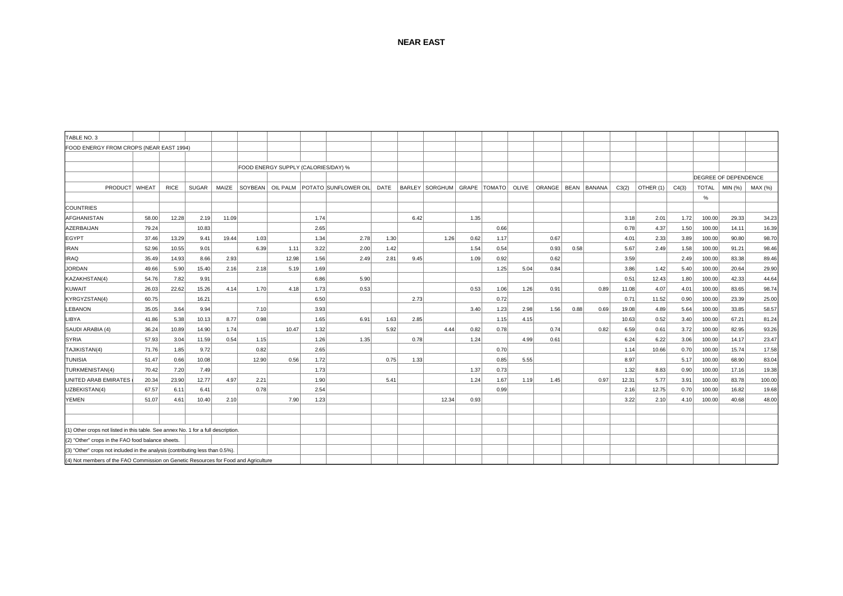| TABLE NO. 3                                                                         |       |             |       |       |       |                                     |      |                                           |      |                |       |      |                |       |                        |      |      |       |           |       |              |                      |         |
|-------------------------------------------------------------------------------------|-------|-------------|-------|-------|-------|-------------------------------------|------|-------------------------------------------|------|----------------|-------|------|----------------|-------|------------------------|------|------|-------|-----------|-------|--------------|----------------------|---------|
| FOOD ENERGY FROM CROPS (NEAR EAST 1994)                                             |       |             |       |       |       |                                     |      |                                           |      |                |       |      |                |       |                        |      |      |       |           |       |              |                      |         |
|                                                                                     |       |             |       |       |       |                                     |      |                                           |      |                |       |      |                |       |                        |      |      |       |           |       |              |                      |         |
|                                                                                     |       |             |       |       |       | FOOD ENERGY SUPPLY (CALORIES/DAY) % |      |                                           |      |                |       |      |                |       |                        |      |      |       |           |       |              |                      |         |
|                                                                                     |       |             |       |       |       |                                     |      |                                           |      |                |       |      |                |       |                        |      |      |       |           |       |              | DEGREE OF DEPENDENCE |         |
| PRODUCT WHEAT                                                                       |       | <b>RICE</b> | SUGAR | MAIZE |       |                                     |      | SOYBEAN   OIL PALM   POTATO SUNFLOWER OIL | DATE | BARLEY SORGHUM |       |      | GRAPE   TOMATO | OLIVE | ORANGE   BEAN   BANANA |      |      | C3(2) | OTHER (1) | C4(3) | <b>TOTAL</b> | MIN (%)              | MAX (%) |
|                                                                                     |       |             |       |       |       |                                     |      |                                           |      |                |       |      |                |       |                        |      |      |       |           |       | $\%$         |                      |         |
| <b>COUNTRIES</b>                                                                    |       |             |       |       |       |                                     |      |                                           |      |                |       |      |                |       |                        |      |      |       |           |       |              |                      |         |
| AFGHANISTAN                                                                         | 58.00 | 12.28       | 2.19  | 11.09 |       |                                     | 1.74 |                                           |      | 6.42           |       | 1.35 |                |       |                        |      |      | 3.18  | 2.01      | 1.72  | 100.00       | 29.33                | 34.23   |
| AZERBAIJAN                                                                          | 79.24 |             | 10.83 |       |       |                                     | 2.65 |                                           |      |                |       |      | 0.66           |       |                        |      |      | 0.78  | 4.37      | 1.50  | 100.00       | 14.11                | 16.39   |
| <b>EGYPT</b>                                                                        | 37.46 | 13.29       | 9.41  | 19.44 | 1.03  |                                     | 1.34 | 2.78                                      | 1.30 |                | 1.26  | 0.62 | 1.17           |       | 0.67                   |      |      | 4.01  | 2.33      | 3.89  | 100.00       | 90.80                | 98.70   |
| <b>IRAN</b>                                                                         | 52.96 | 10.55       | 9.01  |       | 6.39  | 1.11                                | 3.22 | 2.00                                      | 1.42 |                |       | 1.54 | 0.54           |       | 0.93                   | 0.58 |      | 5.67  | 2.49      | 1.58  | 100.00       | 91.21                | 98.46   |
| <b>IRAQ</b>                                                                         | 35.49 | 14.93       | 8.66  | 2.93  |       | 12.98                               | 1.56 | 2.49                                      | 2.81 | 9.45           |       | 1.09 | 0.92           |       | 0.62                   |      |      | 3.59  |           | 2.49  | 100.00       | 83.38                | 89.46   |
| <b>JORDAN</b>                                                                       | 49.66 | 5.90        | 15.40 | 2.16  | 2.18  | 5.19                                | 1.69 |                                           |      |                |       |      | 1.25           | 5.04  | 0.84                   |      |      | 3.86  | 1.42      | 5.40  | 100.00       | 20.64                | 29.90   |
| KAZAKHSTAN(4)                                                                       | 54.76 | 7.82        | 9.91  |       |       |                                     | 6.86 | 5.90                                      |      |                |       |      |                |       |                        |      |      | 0.51  | 12.43     | 1.80  | 100.00       | 42.33                | 44.64   |
| <b>KUWAIT</b>                                                                       | 26.03 | 22.62       | 15.26 | 4.14  | 1.70  | 4.18                                | 1.73 | 0.53                                      |      |                |       | 0.53 | 1.06           | 1.26  | 0.91                   |      | 0.89 | 11.08 | 4.07      | 4.01  | 100.00       | 83.65                | 98.74   |
| KYRGYZSTAN(4)                                                                       | 60.75 |             | 16.21 |       |       |                                     | 6.50 |                                           |      | 2.73           |       |      | 0.72           |       |                        |      |      | 0.71  | 11.52     | 0.90  | 100.00       | 23.39                | 25.00   |
| LEBANON                                                                             | 35.05 | 3.64        | 9.94  |       | 7.10  |                                     | 3.93 |                                           |      |                |       | 3.40 | 1.23           | 2.98  | 1.56                   | 0.88 | 0.69 | 19.08 | 4.89      | 5.64  | 100.00       | 33.85                | 58.57   |
| LIBYA                                                                               | 41.86 | 5.38        | 10.13 | 8.77  | 0.98  |                                     | 1.65 | 6.91                                      | 1.63 | 2.85           |       |      | 1.15           | 4.15  |                        |      |      | 10.63 | 0.52      | 3.40  | 100.00       | 67.21                | 81.24   |
| SAUDI ARABIA (4)                                                                    | 36.24 | 10.89       | 14.90 | 1.74  |       | 10.47                               | 1.32 |                                           | 5.92 |                | 4.44  | 0.82 | 0.78           |       | 0.74                   |      | 0.82 | 6.59  | 0.61      | 3.72  | 100.00       | 82.95                | 93.26   |
| <b>SYRIA</b>                                                                        | 57.93 | 3.04        | 11.59 | 0.54  | 1.15  |                                     | 1.26 | 1.35                                      |      | 0.78           |       | 1.24 |                | 4.99  | 0.61                   |      |      | 6.24  | 6.22      | 3.06  | 100.00       | 14.17                | 23.47   |
| TAJIKISTAN(4)                                                                       | 71.76 | 1.85        | 9.72  |       | 0.82  |                                     | 2.65 |                                           |      |                |       |      | 0.70           |       |                        |      |      | 1.14  | 10.66     | 0.70  | 100.00       | 15.74                | 17.58   |
| <b>TUNISIA</b>                                                                      | 51.47 | 0.66        | 10.08 |       | 12.90 | 0.56                                | 1.72 |                                           | 0.75 | 1.33           |       |      | 0.85           | 5.55  |                        |      |      | 8.97  |           | 5.17  | 100.00       | 68.90                | 83.04   |
| TURKMENISTAN(4)                                                                     | 70.42 | 7.20        | 7.49  |       |       |                                     | 1.73 |                                           |      |                |       | 1.37 | 0.73           |       |                        |      |      | 1.32  | 8.83      | 0.90  | 100.00       | 17.16                | 19.38   |
| UNITED ARAB EMIRATES                                                                | 20.34 | 23.90       | 12.77 | 4.97  | 2.21  |                                     | 1.90 |                                           | 5.41 |                |       | 1.24 | 1.67           | 1.19  | 1.45                   |      | 0.97 | 12.31 | 5.77      | 3.91  | 100.00       | 83.78                | 100.00  |
| UZBEKISTAN(4)                                                                       | 67.57 | 6.11        | 6.41  |       | 0.78  |                                     | 2.54 |                                           |      |                |       |      | 0.99           |       |                        |      |      | 2.16  | 12.75     | 0.70  | 100.00       | 16.82                | 19.68   |
| YEMEN                                                                               | 51.07 | 4.61        | 10.40 | 2.10  |       | 7.90                                | 1.23 |                                           |      |                | 12.34 | 0.93 |                |       |                        |      |      | 3.22  | 2.10      | 4.10  | 100.00       | 40.68                | 48.00   |
|                                                                                     |       |             |       |       |       |                                     |      |                                           |      |                |       |      |                |       |                        |      |      |       |           |       |              |                      |         |
|                                                                                     |       |             |       |       |       |                                     |      |                                           |      |                |       |      |                |       |                        |      |      |       |           |       |              |                      |         |
| (1) Other crops not listed in this table. See annex No. 1 for a full description.   |       |             |       |       |       |                                     |      |                                           |      |                |       |      |                |       |                        |      |      |       |           |       |              |                      |         |
| (2) "Other" crops in the FAO food balance sheets.                                   |       |             |       |       |       |                                     |      |                                           |      |                |       |      |                |       |                        |      |      |       |           |       |              |                      |         |
| (3) "Other" crops not included in the analysis (contributing less than 0.5%).       |       |             |       |       |       |                                     |      |                                           |      |                |       |      |                |       |                        |      |      |       |           |       |              |                      |         |
| (4) Not members of the FAO Commission on Genetic Resources for Food and Agriculture |       |             |       |       |       |                                     |      |                                           |      |                |       |      |                |       |                        |      |      |       |           |       |              |                      |         |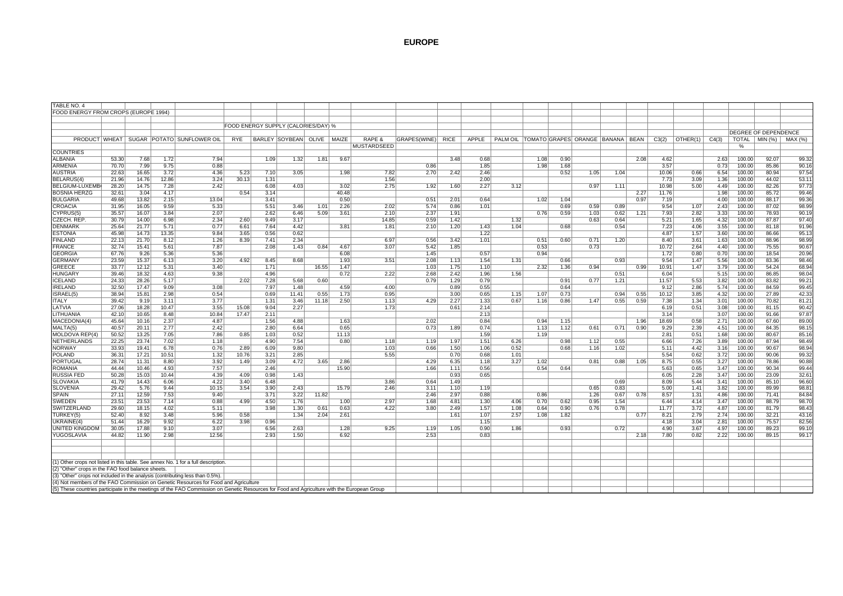| TABLE NO. 4                                                                  |                |                |               |                                                                                                                                             |       |              |                                     |       |               |               |              |      |              |      |      |              |              |                                           |      |                |              |              |                  |                             |                |
|------------------------------------------------------------------------------|----------------|----------------|---------------|---------------------------------------------------------------------------------------------------------------------------------------------|-------|--------------|-------------------------------------|-------|---------------|---------------|--------------|------|--------------|------|------|--------------|--------------|-------------------------------------------|------|----------------|--------------|--------------|------------------|-----------------------------|----------------|
| FOOD ENERGY FROM CROPS (EUROPE 1994)                                         |                |                |               |                                                                                                                                             |       |              |                                     |       |               |               |              |      |              |      |      |              |              |                                           |      |                |              |              |                  |                             |                |
|                                                                              |                |                |               |                                                                                                                                             |       |              |                                     |       |               |               |              |      |              |      |      |              |              |                                           |      |                |              |              |                  |                             |                |
|                                                                              |                |                |               |                                                                                                                                             |       |              | FOOD ENERGY SUPPLY (CALORIES/DAY) % |       |               |               |              |      |              |      |      |              |              |                                           |      |                |              |              |                  |                             |                |
|                                                                              |                |                |               |                                                                                                                                             |       |              |                                     |       |               |               |              |      |              |      |      |              |              |                                           |      |                |              |              |                  | <b>DEGREE OF DEPENDENCE</b> |                |
|                                                                              |                |                |               |                                                                                                                                             |       |              |                                     |       |               |               |              |      |              |      |      |              |              |                                           |      |                |              |              |                  |                             |                |
|                                                                              |                |                |               | PRODUCT WHEAT   SUGAR   POTATO   SUNFLOWER OIL                                                                                              | RYE   |              | BARLEY SOYBEAN OLIVE   MAIZE        |       |               | RAPE &        | GRAPES(WINE) | RICE | APPLE        |      |      |              |              | PALM OIL TOMATO GRAPES ORANGE BANANA BEAN |      | C3(2)          | OTHER(1)     | C4(3)        | TOTAL   MIN (%)  |                             | MAX (%)        |
|                                                                              |                |                |               |                                                                                                                                             |       |              |                                     |       |               | MUSTARDSEED   |              |      |              |      |      |              |              |                                           |      |                |              |              | %                |                             |                |
| <b>COUNTRIES</b>                                                             |                |                |               |                                                                                                                                             |       |              |                                     |       |               |               |              |      |              |      |      |              |              |                                           |      |                |              |              |                  |                             |                |
| <b>ALBANIA</b>                                                               | 53.30          | 7.68           | 1.72          | 7.94                                                                                                                                        |       | 1.09         | 1.32                                | 1.81  | 9.67          |               |              | 3.48 | 0.68         |      | 1.08 | 0.90         |              |                                           | 2.08 | 4.62           |              | 2.63         | 100.00           | 92.07                       | 99.32          |
| <b>ARMENIA</b>                                                               | 70.70<br>22.63 | 7.99           | 9.75          | 0.88                                                                                                                                        |       | 7.10         | 3.05                                |       | 1.98          | 7.82          | 0.86<br>2.70 | 2.42 | 1.85<br>2.46 |      | 1.98 | 1.68<br>0.52 | 1.05         | 1.04                                      |      | 3.57<br>10.06  | 0.66         | 0.73         | 100.00<br>100.00 | 85.86<br>80.94              | 90.16<br>97.54 |
| <b>AUSTRIA</b><br>BELARUS(4                                                  | 21.96          | 16.65          | 3.72          | 4.36<br>3.24                                                                                                                                | 5.23  |              |                                     |       |               | 1.56          |              |      | 2.00         |      |      |              |              |                                           |      |                |              | 6.54         |                  | 44.02                       | 53.11          |
|                                                                              |                | 14.76          | 12.86         |                                                                                                                                             | 30.13 | 1.31         |                                     |       |               |               | 1.92         |      |              |      |      |              |              |                                           |      | 7.73           | 3.09         | 1.36         | 100.00           |                             |                |
| BELGIUM-LUXEMB<br><b>BOSNIA HERZG</b>                                        | 28.20<br>32.61 | 14.75          | 7.28<br>4.17  | 2.42                                                                                                                                        |       | 6.08<br>3.14 | 4.03                                |       | 3.02<br>40.48 | 2.75          |              | 1.60 | 2.27         | 3.12 |      |              | 0.97         | 1.11                                      |      | 10.98<br>11.76 | 5.00         | 4.49         | 100.00<br>100.00 | 82.26<br>85.72              | 97.73<br>99.46 |
|                                                                              |                | 3.04           |               |                                                                                                                                             | 0.54  | 3.41         |                                     |       | 0.50          |               |              |      |              |      |      |              |              |                                           | 2.27 |                |              | 1.98         |                  |                             |                |
| <b>BULGARIA</b>                                                              | 49.68          | 13.82          | 2.15          | 13.04                                                                                                                                       |       |              |                                     |       |               |               | 0.51         | 2.01 | 0.64         |      | 1.02 | 1.04         |              |                                           | 0.97 | 7.19           |              | 4.00         | 100.00           | 88.17                       | 99.36          |
| CROACIA                                                                      | 31.95          | 16.05          | 9.59          | 5.33                                                                                                                                        |       | 5.51<br>2.62 | 3.46                                | 1.01  | 2.26          | 2.02          | 5.74         | 0.86 | 1.01         |      | 0.76 | 0.69         | 0.59         | 0.89                                      |      | 9.54           | 1.07<br>2.82 | 2.43         | 100.00<br>100.00 | 87.02                       | 98.99<br>90.19 |
| CYPRUS(5)                                                                    | 35.57<br>30.79 | 16.07<br>14.00 | 3.84<br>6.98  | 2.07<br>2.34                                                                                                                                | 2.60  | 9.49         | 6.46<br>3.17                        | 5.09  | 3.61          | 2.10<br>14.85 | 2.37<br>0.59 | 1.91 |              | 1.32 |      | 0.59         | 1.03<br>0.63 | 0.62<br>0.64                              | 1.21 | 7.93<br>5.21   | 1.65         | 3.33<br>4.32 | 100.00           | 78.93<br>87.87              | 97.40          |
| CZECH. REP                                                                   |                |                |               | 0.77                                                                                                                                        |       |              |                                     |       |               | 1.81          | 2.10         | 1.42 |              | 1.04 |      |              |              |                                           |      |                |              |              |                  |                             |                |
| <b>DENMARK</b>                                                               | 25.64          | 21.77          | 5.71          | 9.84                                                                                                                                        | 6.61  | 7.64         | 4.42<br>0.62                        |       | 3.81          |               |              | 1.20 | 1.43<br>1.22 |      |      | 0.68         |              | 0.54                                      |      | 7.23           | 4.06         | 3.55         | 100.00           | 81.18                       | 91.96          |
| <b>ESTONIA</b><br><b>FINLAND</b>                                             | 45.98<br>22.13 | 14.73<br>21.70 | 13.35<br>8.12 | 1.26                                                                                                                                        | 3.65  | 0.56<br>7.41 | 2.34                                |       |               | 6.97          | 0.56         | 3.42 | 1.01         |      |      | 0.60         | 0.71         | 1.20                                      |      | 4.87<br>8.40   | 1.57<br>3.61 | 3.60<br>1.63 | 100.00<br>100.00 | 86.66<br>88.96              | 95.13<br>98.99 |
|                                                                              | 32.74          |                |               | 7.87                                                                                                                                        | 8.39  | 2.08         |                                     |       |               | 3.07          | 5.42         |      |              |      | 0.51 |              | 0.73         |                                           |      | 10.72          | 2.64         | 4.40         |                  |                             | 90.67          |
| <b>FRANCE</b><br><b>GEORGIA</b>                                              | 67.76          | 15.41          | 5.61<br>5.36  |                                                                                                                                             |       |              | 1.43                                | 0.84  | 4.67          |               | 1.45         | 1.85 |              |      | 0.53 |              |              |                                           |      | 1.72           |              | 0.70         | 100.00           | 75.55<br>18.54              | 20.96          |
| <b>GERMANY</b>                                                               | 23.59          | 9.26<br>15.37  | 6.13          | 5.36<br>3.20                                                                                                                                | 4.92  | 8.45         | 8.68                                |       | 6.08<br>1.93  | 3.51          | 2.08         | 1.13 | 0.57<br>1.54 | 1.31 | 0.94 | 0.66         |              | 0.93                                      |      | 9.54           | 0.80<br>1.47 | 5.56         | 100.00<br>100.00 | 83.36                       | 98.46          |
| <b>GREECE</b>                                                                | 33.77          | 12.12          | 5.31          | 3.40                                                                                                                                        |       | 1.71         |                                     | 16.55 | 1.47          |               | 1.03         | 1.75 | 1.10         |      | 2.32 | 1.36         | 0.94         |                                           | 0.99 | 10.91          | 1.47         | 3.79         | 100.00           | 54.24                       | 68.94          |
| <b>HUNGARY</b>                                                               | 39.46          | 18.32          | 4.63          | 9.38                                                                                                                                        |       | 4.96         |                                     |       | 0.72          | 2.22          | 2.68         | 2.42 | 1.96         | 1.56 |      |              |              | 0.51                                      |      | 6.04           |              | 5.15         | 100.00           | 86.85                       | 98.04          |
| <b>ICELAND</b>                                                               | 24.33          | 28.26          | 5.17          |                                                                                                                                             | 2.02  | 7.28         | 5.68                                | 0.60  |               |               | 0.79         | 1.29 | 0.79         |      |      | 0.91         | 0.77         | 1.21                                      |      | 11.57          | 5.53         | 3.82         | 100.00           | 83.82                       | 99.21          |
|                                                                              | 32.50          |                | 9.09          | 3.08                                                                                                                                        |       | 7.97         | 1.48                                |       | 4.59          | 4.00          |              | 0.89 | 0.55         |      |      | 0.64         |              |                                           |      | 9.12           | 2.86         | 5.74         | 100.00           | 84.59                       | 99.45          |
| <b>IRELAND</b><br>ISRAEL(5)                                                  | 38.94          | 17.47<br>15.81 | 2.98          | 0.54                                                                                                                                        |       | 0.69         | 11.41                               | 0.55  | 1.73          | 0.95          |              | 3.00 | 0.65         | 1.15 | 1.07 | 0.73         |              | 0.94                                      | 0.55 | 10.12          | 3.85         | 4.32         | 100.00           | 27.89                       | 42.33          |
| <b>ITALY</b>                                                                 | 39.42          |                | 3.11          | 3.77                                                                                                                                        |       | 1.31         | 3.46                                |       | 2.50          | 1.13          | 4.29         | 2.27 | 1.33         | 0.67 | 1.16 | 0.86         |              | 0.55                                      | 0.59 | 7.38           | 1.34         | 3.01         | 100.00           | 70.82                       | 81.21          |
| LATVIA                                                                       | 27.06          | 9.19<br>18.28  | 10.47         | 3.55                                                                                                                                        | 15.08 | 9.04         | 2.27                                | 11.18 |               | 1.73          |              | 0.61 | 2.14         |      |      |              | 1.47         |                                           |      | 6.19           | 0.51         | 3.08         | 100.00           | 81.15                       | 90.42          |
| LITHUANIA                                                                    | 42.10          | 10.65          | 8.48          | 10.84                                                                                                                                       |       | 2.11         |                                     |       |               |               |              |      | 2.13         |      |      |              |              |                                           |      | 3.14           |              | 3.07         | 100.00           | 91.66                       | 97.87          |
| MACEDONIA(4)                                                                 | 45.64          | 10.16          | 2.37          | 4.87                                                                                                                                        | 17.47 | 1.56         | 4.88                                |       | 1.63          |               | 2.02         |      | 0.84         |      | 0.94 | 1.15         |              |                                           | 1.96 | 18.69          | 0.58         | 2.71         | 100.00           | 67.60                       | 89.00          |
| MALTA(5)                                                                     | 40.57          | 20.11          | 2.77          | 2.42                                                                                                                                        |       | 2.80         | 6.64                                |       | 0.65          |               | 0.73         | 1.89 | 0.74         |      | 1.13 | 1.12         | 0.61         | 0.71                                      | 0.90 | 9.29           | 2.39         | 4.51         | 100.00           | 84.35                       | 98.15          |
| MOLDOVA REP(4)                                                               |                |                | 7.05          | 7.86                                                                                                                                        | 0.85  | 1.03         | 0.52                                |       | 11.13         |               |              |      | 1.59         |      | 1.19 |              |              |                                           |      | 2.81           |              | 1.68         | 100.00           | 80.67                       | 85.16          |
| NETHERLANDS                                                                  | 50.52<br>22.25 | 13.25<br>23.74 | 7.02          | 1.18                                                                                                                                        |       | 4.90         | 7.54                                |       | 0.80          | 1.18          | 1.19         | 1.97 | 1.51         | 6.26 |      | 0.98         | 1.12         | 0.55                                      |      | 6.66           | 0.51<br>7.26 | 3.89         | 100.00           | 87.94                       | 98.49          |
| <b>NORWAY</b>                                                                | 33.93          | 19.41          | 6.78          | 0.76                                                                                                                                        | 2.89  | 6.09         | 9.80                                |       |               | 1.03          | 0.66         | 1.50 | 1.06         | 0.52 |      | 0.68         | 1.16         | 1.02                                      |      | 5.11           | 4.42         | 3.16         | 100.00           | 90.67                       | 98.94          |
| <b>POLAND</b>                                                                | 36.31          | 17.21          | 10.51         | 1.32                                                                                                                                        | 10.76 | 3.21         | 2.85                                |       |               | 5.55          |              | 0.70 | 0.68         | 1.01 |      |              |              |                                           |      | 5.54           | 0.62         | 3.72         | 100.00           | 90.06                       | 99.32          |
| <b>PORTUGAL</b>                                                              | 28.74          | 11.31          | 8.80          | 3.92                                                                                                                                        | 1.49  | 3.09         | 4.72                                | 3.65  | 2.86          |               | 4.29         | 6.35 | 1.18         | 3.27 | 1.02 |              | 0.81         | 0.88                                      | 1.05 | 8.75           | 0.55         | 3.27         | 100.00           | 78.86                       | 90.88          |
| <b>ROMANIA</b>                                                               | 44.44          | 10.46          | 4.93          | 7.57                                                                                                                                        |       | 2.46         |                                     |       | 15.90         |               | 1.66         | 1.11 | 0.56         |      | 0.54 | 0.64         |              |                                           |      | 5.63           | 0.65         | 3.47         | 100.00           | 90.34                       | 99.44          |
| <b>RUSSIA FED</b>                                                            | 50.28          | 15.03          | 10.44         | 4.39                                                                                                                                        | 4.09  | 0.98         | 1.43                                |       |               |               |              | 0.93 | 0.65         |      |      |              |              |                                           |      | 6.05           | 2.28         | 3.47         | 100.00           | 23.09                       | 32.61          |
| <b>SLOVAKIA</b>                                                              | 41.79          | 14.43          | 6.06          | 4.22                                                                                                                                        | 3.40  | 6.48         |                                     |       |               | 3.86          | 0.64         | 1.49 |              |      |      |              |              | 0.69                                      |      | 8.09           | 5.44         | 3.41         | 100.00           | 85.10                       | 96.60          |
| <b>SLOVENIA</b>                                                              | 29.42          | 5.76           | 9.44          | 10.15                                                                                                                                       | 3.54  | 3.90         | 2.43                                |       | 15.79         | 2.46          | 3.11         | 1.10 | 1.19         |      |      |              | 0.65         | 0.83                                      |      | 5.00           | 1.41         | 3.82         | 100.00           | 89.99                       | 98.81          |
| <b>SPAIN</b>                                                                 | 27.11          | 12.59          | 7.53          | 9.40                                                                                                                                        |       | 3.71         | 3.22                                | 11.82 |               |               | 2.46         | 2.97 | 0.88         |      | 0.86 |              | 1.26         | 0.67                                      | 0.78 | 8.57           | 1.31         | 4.86         | 100.00           | 71.41                       | 84.84          |
| SWEDEN                                                                       | 23.51          | 23.53          | 7.14          | 0.88                                                                                                                                        | 4.99  | 4.50         | 1.76                                |       | 1.00          | 2.97          | 1.68         | 4.81 | 1.30         | 4.06 | 0.70 | 0.62         | 0.95         | 1.54                                      |      | 6.44           | 4.14         | 3.47         | 100.00           | 88.79                       | 98.70          |
| SWITZERLAND                                                                  | 29.60          | 18.15          | 4.02          | 5.11                                                                                                                                        |       | 3.98         | 1.30                                | 0.61  | 0.63          | 4.22          | 3.80         | 2.49 | 1.57         | 1.08 | 0.64 | 0.90         | 0.76         | 0.78                                      |      | 11.77          | 3.72         | 4.87         | 100.00           | 81.79                       | 98.43          |
| TURKEY(5)                                                                    | 52.40          | 8.92           | 3.48          | 5.96                                                                                                                                        | 0.58  |              | 1.34                                | 2.04  | 2.61          |               |              | 1.61 | 1.07         | 2.57 | 1.08 | 1.82         |              |                                           | 0.77 | 8.21           | 2.79         | 2.74         | 100.00           | 32.21                       | 43.16          |
| UKRAINE(4                                                                    | 51.44          | 16.29          | 9.92          | 6.22                                                                                                                                        | 3.98  | 0.96         |                                     |       |               |               |              |      | 1.15         |      |      |              |              |                                           |      | 4.18           | 3.04         | 2.81         | 100.00           | 75.57                       | 82.56          |
| UNITED KINGDOM                                                               | 30.05          | 17.88          | 9.10          | 3.07                                                                                                                                        |       | 6.56         | 2.63                                |       | 1.28          | 9.25          | 1.19         | 1.05 | 0.90         | 1.86 |      | 0.93         |              | 0.72                                      |      | 4.90           | 3.67         | 4.97         | 100.00           | 89.23                       | 99.10          |
| YUGOSLAVIA                                                                   | 44.82          | 11.90          | 2.98          | 12.56                                                                                                                                       |       | 2.93         | 1.50                                |       | 6.92          |               | 2.53         |      | 0.83         |      |      |              |              |                                           | 2.18 | 7.80           | 0.82         | 2.22         | 100.00           | 89.15                       | 99.17          |
|                                                                              |                |                |               |                                                                                                                                             |       |              |                                     |       |               |               |              |      |              |      |      |              |              |                                           |      |                |              |              |                  |                             |                |
|                                                                              |                |                |               |                                                                                                                                             |       |              |                                     |       |               |               |              |      |              |      |      |              |              |                                           |      |                |              |              |                  |                             |                |
|                                                                              |                |                |               |                                                                                                                                             |       |              |                                     |       |               |               |              |      |              |      |      |              |              |                                           |      |                |              |              |                  |                             |                |
|                                                                              |                |                |               | (1) Other crops not listed in this table. See annex No. 1 for a full description                                                            |       |              |                                     |       |               |               |              |      |              |      |      |              |              |                                           |      |                |              |              |                  |                             |                |
| (2) "Other" crops in the FAO food balance sheets.                            |                |                |               |                                                                                                                                             |       |              |                                     |       |               |               |              |      |              |      |      |              |              |                                           |      |                |              |              |                  |                             |                |
| (3) "Other" crops not included in the analysis (contributing less than 0.5%) |                |                |               |                                                                                                                                             |       |              |                                     |       |               |               |              |      |              |      |      |              |              |                                           |      |                |              |              |                  |                             |                |
|                                                                              |                |                |               | (4) Not members of the FAO Commission on Genetic Resources for Food and Agriculture                                                         |       |              |                                     |       |               |               |              |      |              |      |      |              |              |                                           |      |                |              |              |                  |                             |                |
|                                                                              |                |                |               | (5) These countries participate in the meetings of the FAO Commission on Genetic Resources for Food and Agriculture with the European Group |       |              |                                     |       |               |               |              |      |              |      |      |              |              |                                           |      |                |              |              |                  |                             |                |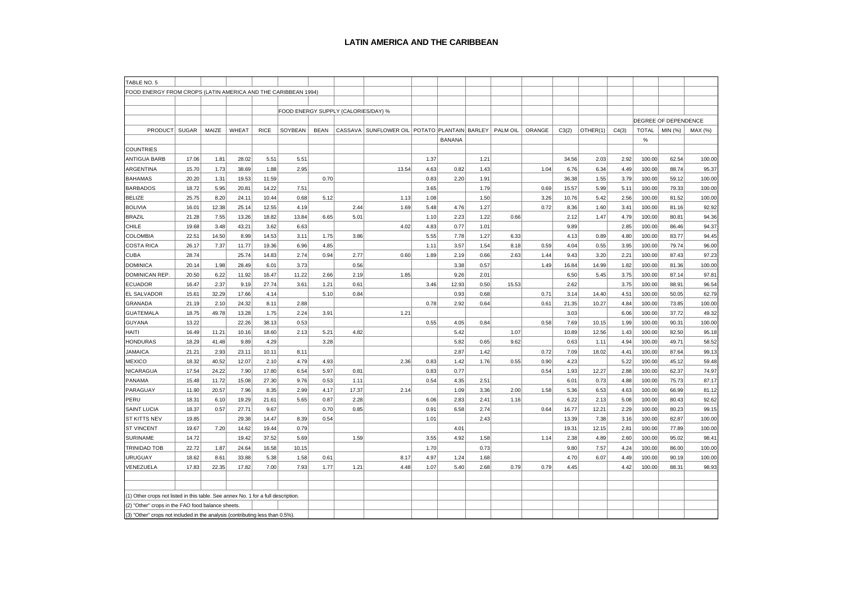#### **LATIN AMERICA AND THE CARIBBEAN**

| TABLE NO. 5                                                                       |       |       |       |             |                                     |             |       |                                                      |      |               |      |          |        |       |          |       |              |                      |         |
|-----------------------------------------------------------------------------------|-------|-------|-------|-------------|-------------------------------------|-------------|-------|------------------------------------------------------|------|---------------|------|----------|--------|-------|----------|-------|--------------|----------------------|---------|
|                                                                                   |       |       |       |             |                                     |             |       |                                                      |      |               |      |          |        |       |          |       |              |                      |         |
| FOOD ENERGY FROM CROPS (LATIN AMERICA AND THE CARIBBEAN 1994)                     |       |       |       |             |                                     |             |       |                                                      |      |               |      |          |        |       |          |       |              |                      |         |
|                                                                                   |       |       |       |             |                                     |             |       |                                                      |      |               |      |          |        |       |          |       |              |                      |         |
|                                                                                   |       |       |       |             | FOOD ENERGY SUPPLY (CALORIES/DAY) % |             |       |                                                      |      |               |      |          |        |       |          |       |              |                      |         |
|                                                                                   |       |       |       |             |                                     |             |       |                                                      |      |               |      |          |        |       |          |       |              | DEGREE OF DEPENDENCE |         |
| PRODUCT SUGAR                                                                     |       | MAIZE | WHEAT | <b>RICE</b> | SOYBEAN                             | <b>BEAN</b> |       | CASSAVA   SUNFLOWER OIL   POTATO   PLANTAIN   BARLEY |      |               |      | PALM OIL | ORANGE | C3(2) | OTHER(1) | C4(3) | <b>TOTAL</b> | MIN (%)              | MAX (%) |
|                                                                                   |       |       |       |             |                                     |             |       |                                                      |      | <b>BANANA</b> |      |          |        |       |          |       | $\%$         |                      |         |
| <b>COUNTRIES</b>                                                                  |       |       |       |             |                                     |             |       |                                                      |      |               |      |          |        |       |          |       |              |                      |         |
| ANTIGUA BARB                                                                      | 17.06 | 1.81  | 28.02 | 5.51        | 5.51                                |             |       |                                                      | 1.37 |               | 1.21 |          |        | 34.56 | 2.03     | 2.92  | 100.00       | 62.54                | 100.00  |
| ARGENTINA                                                                         | 15.70 | 1.73  | 38.69 | 1.88        | 2.95                                |             |       | 13.54                                                | 4.63 | 0.82          | 1.43 |          | 1.04   | 6.76  | 6.34     | 4.49  | 100.00       | 88.74                | 95.37   |
| <b>BAHAMAS</b>                                                                    | 20.20 | 1.31  | 19.53 | 11.59       |                                     | 0.70        |       |                                                      | 0.83 | 2.20          | 1.91 |          |        | 36.38 | 1.55     | 3.79  | 100.00       | 59.12                | 100.00  |
| <b>BARBADOS</b>                                                                   | 18.72 | 5.95  | 20.81 | 14.22       | 7.51                                |             |       |                                                      | 3.65 |               | 1.79 |          | 0.69   | 15.57 | 5.99     | 5.11  | 100.00       | 79.33                | 100.00  |
| <b>BELIZE</b>                                                                     | 25.75 | 8.20  | 24.11 | 10.44       | 0.68                                | 5.12        |       | 1.13                                                 | 1.08 |               | 1.50 |          | 3.26   | 10.76 | 5.42     | 2.56  | 100.00       | 81.52                | 100.00  |
| <b>BOLIVIA</b>                                                                    | 16.01 | 12.38 | 25.14 | 12.55       | 4.19                                |             | 2.44  | 1.69                                                 | 5.48 | 4.76          | 1.27 |          | 0.72   | 8.36  | 1.60     | 3.41  | 100.00       | 81.16                | 92.92   |
| <b>BRAZIL</b>                                                                     | 21.28 | 7.55  | 13.26 | 18.82       | 13.84                               | 6.65        | 5.01  |                                                      | 1.10 | 2.23          | 1.22 | 0.66     |        | 2.12  | 1.47     | 4.79  | 100.00       | 80.81                | 94.36   |
| CHILE                                                                             | 19.68 | 3.48  | 43.21 | 3.62        | 6.63                                |             |       | 4.02                                                 | 4.83 | 0.77          | 1.01 |          |        | 9.89  |          | 2.85  | 100.00       | 86.46                | 94.37   |
| <b>COLOMBIA</b>                                                                   | 22.51 | 14.50 | 8.99  | 14.53       | 3.11                                | 1.75        | 3.86  |                                                      | 5.55 | 7.78          | 1.27 | 6.33     |        | 4.13  | 0.89     | 4.80  | 100.00       | 83.77                | 94.45   |
| <b>COSTA RICA</b>                                                                 | 26.17 | 7.37  | 11.77 | 19.36       | 6.96                                | 4.85        |       |                                                      | 1.11 | 3.57          | 1.54 | 8.18     | 0.59   | 4.04  | 0.55     | 3.95  | 100.00       | 79.74                | 96.00   |
| CUBA                                                                              | 28.74 |       | 25.74 | 14.83       | 2.74                                | 0.94        | 2.77  | 0.60                                                 | 1.89 | 2.19          | 0.66 | 2.63     | 1.44   | 9.43  | 3.20     | 2.21  | 100.00       | 87.43                | 97.23   |
| <b>DOMINICA</b>                                                                   | 20.14 | 1.98  | 28.49 | 6.01        | 3.73                                |             | 0.56  |                                                      |      | 3.38          | 0.57 |          | 1.49   | 16.84 | 14.99    | 1.82  | 100.00       | 81.36                | 100.00  |
| DOMINICAN REP.                                                                    | 20.50 | 6.22  | 11.92 | 16.47       | 11.22                               | 2.66        | 2.19  | 1.85                                                 |      | 9.26          | 2.01 |          |        | 6.50  | 5.45     | 3.75  | 100.00       | 87.14                | 97.81   |
| <b>ECUADOR</b>                                                                    | 16.47 | 2.37  | 9.19  | 27.74       | 3.61                                | 1.21        | 0.61  |                                                      | 3.46 | 12.93         | 0.50 | 15.53    |        | 2.62  |          | 3.75  | 100.00       | 88.91                | 96.54   |
| EL SALVADOR                                                                       | 15.61 | 32.29 | 17.66 | 4.14        |                                     | 5.10        | 0.84  |                                                      |      | 0.93          | 0.68 |          | 0.71   | 3.14  | 14.40    | 4.51  | 100.00       | 50.05                | 62.79   |
| GRANADA                                                                           | 21.19 | 2.10  | 24.32 | 8.11        | 2.88                                |             |       |                                                      | 0.78 | 2.92          | 0.64 |          | 0.61   | 21.35 | 10.27    | 4.84  | 100.00       | 73.85                | 100.00  |
| <b>GUATEMALA</b>                                                                  | 18.75 | 49.78 | 13.28 | 1.75        | 2.24                                | 3.91        |       | 1.21                                                 |      |               |      |          |        | 3.03  |          | 6.06  | 100.00       | 37.72                | 49.32   |
| <b>GUYANA</b>                                                                     | 13.22 |       | 22.26 | 38.13       | 0.53                                |             |       |                                                      | 0.55 | 4.05          | 0.84 |          | 0.58   | 7.69  | 10.15    | 1.99  | 100.00       | 90.31                | 100.00  |
| ITIAH                                                                             | 16.49 | 11.21 | 10.16 | 18.60       | 2.13                                | 5.21        | 4.82  |                                                      |      | 5.42          |      | 1.07     |        | 10.89 | 12.56    | 1.43  | 100.00       | 82.50                | 95.18   |
| <b>HONDURAS</b>                                                                   | 18.29 | 41.48 | 9.89  | 4.29        |                                     | 3.28        |       |                                                      |      | 5.82          | 0.65 | 9.62     |        | 0.63  | 1.11     | 4.94  | 100.00       | 49.71                | 58.52   |
| JAMAICA                                                                           | 21.21 | 2.93  | 23.11 | 10.11       | 8.11                                |             |       |                                                      |      | 2.87          | 1.42 |          | 0.72   | 7.09  | 18.02    | 4.41  | 100.00       | 87.64                | 99.13   |
| <b>MEXICO</b>                                                                     | 18.32 | 40.52 | 12.07 | 2.10        | 4.79                                | 4.93        |       | 2.36                                                 | 0.83 | 1.42          | 1.76 | 0.55     | 0.90   | 4.23  |          | 5.22  | 100.00       | 45.12                | 59.48   |
| NICARAGUA                                                                         | 17.54 | 24.22 | 7.90  | 17.80       | 6.54                                | 5.97        | 0.81  |                                                      | 0.83 | 0.77          |      |          | 0.54   | 1.93  | 12.27    | 2.88  | 100.00       | 62.37                | 74.97   |
| PANAMA                                                                            | 15.48 | 11.72 | 15.08 | 27.30       | 9.76                                | 0.53        | 1.11  |                                                      | 0.54 | 4.35          | 2.51 |          |        | 6.01  | 0.73     | 4.88  | 100.00       | 75.73                | 87.17   |
| PARAGUAY                                                                          | 11.90 | 20.57 | 7.96  | 8.35        | 2.99                                | 4.17        | 17.37 | 2.14                                                 |      | 1.09          | 3.36 | 2.00     | 1.58   | 5.36  | 6.53     | 4.63  | 100.00       | 66.99                | 81.12   |
| PERU                                                                              | 18.31 | 6.10  | 19.29 | 21.61       | 5.65                                | 0.87        | 2.28  |                                                      | 6.06 | 2.83          | 2.41 | 1.16     |        | 6.22  | 2.13     | 5.08  | 100.00       | 80.43                | 92.62   |
| <b>SAINT LUCIA</b>                                                                | 18.37 | 0.57  | 27.71 | 9.67        |                                     | 0.70        | 0.85  |                                                      | 0.91 | 6.58          | 2.74 |          | 0.64   | 16.77 | 12.21    | 2.29  | 100.00       | 80.23                | 99.15   |
| <b>ST KITTS NEV</b>                                                               | 19.85 |       | 29.38 | 14.47       | 8.39                                | 0.54        |       |                                                      | 1.01 |               | 2.43 |          |        | 13.39 | 7.38     | 3.16  | 100.00       | 82.87                | 100.00  |
| <b>ST VINCENT</b>                                                                 | 19.67 | 7.20  | 14.62 | 19.44       | 0.79                                |             |       |                                                      |      | 4.01          |      |          |        | 19.31 | 12.15    | 2.81  | 100.00       | 77.89                | 100.00  |
| <b>SURINAME</b>                                                                   | 14.72 |       | 19.42 | 37.52       | 5.69                                |             | 1.59  |                                                      | 3.55 | 4.92          | 1.58 |          | 1.14   | 2.38  | 4.89     | 2.60  | 100.00       | 95.02                | 98.41   |
| TRINIDAD TOB                                                                      | 22.72 | 1.87  | 24.64 | 16.58       | 10.15                               |             |       |                                                      | 1.70 |               | 0.73 |          |        | 9.80  | 7.57     | 4.24  | 100.00       | 86.00                | 100.00  |
| URUGUAY                                                                           | 18.62 | 8.61  | 33.88 | 5.38        | 1.58                                | 0.61        |       | 8.17                                                 | 4.97 | 1.24          | 1.68 |          |        | 4.70  | 6.07     | 4.49  | 100.00       | 90.19                | 100.00  |
| VENEZUELA                                                                         | 17.83 | 22.35 | 17.82 | 7.00        | 7.93                                | 1.77        | 1.21  | 4.48                                                 | 1.07 | 5.40          | 2.68 | 0.79     | 0.79   | 4.45  |          | 4.42  | 100.00       | 88.31                | 98.93   |
|                                                                                   |       |       |       |             |                                     |             |       |                                                      |      |               |      |          |        |       |          |       |              |                      |         |
|                                                                                   |       |       |       |             |                                     |             |       |                                                      |      |               |      |          |        |       |          |       |              |                      |         |
| (1) Other crops not listed in this table. See annex No. 1 for a full description. |       |       |       |             |                                     |             |       |                                                      |      |               |      |          |        |       |          |       |              |                      |         |
| (2) "Other" crops in the FAO food balance sheets.                                 |       |       |       |             |                                     |             |       |                                                      |      |               |      |          |        |       |          |       |              |                      |         |
| (3) "Other" crops not included in the analysis (contributing less than 0.5%)      |       |       |       |             |                                     |             |       |                                                      |      |               |      |          |        |       |          |       |              |                      |         |